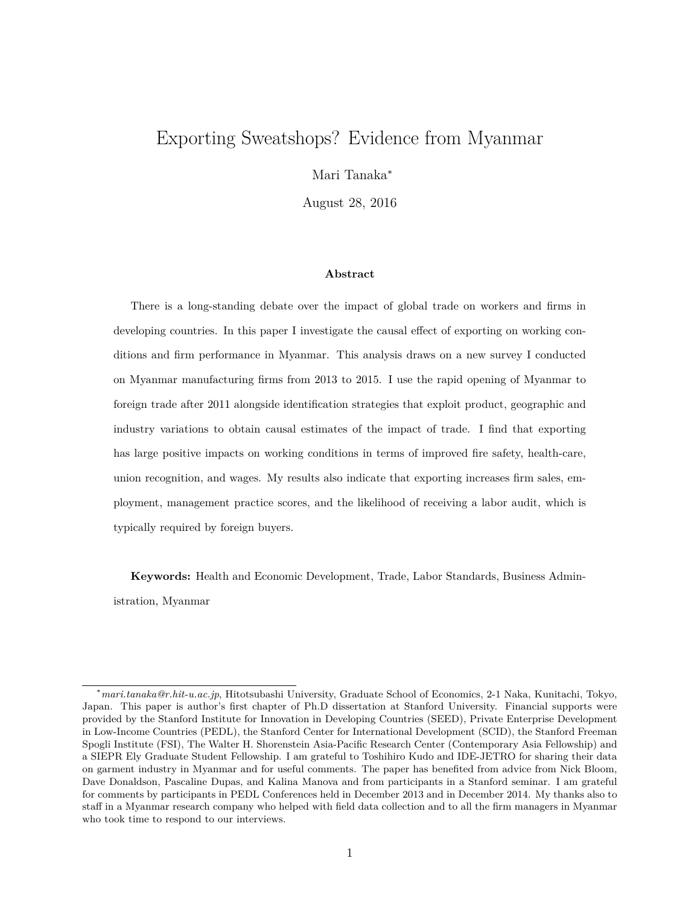# Exporting Sweatshops? Evidence from Myanmar

Mari Tanaka<sup>∗</sup>

August 28, 2016

#### **Abstract**

There is a long-standing debate over the impact of global trade on workers and firms in developing countries. In this paper I investigate the causal effect of exporting on working conditions and firm performance in Myanmar. This analysis draws on a new survey I conducted on Myanmar manufacturing firms from 2013 to 2015. I use the rapid opening of Myanmar to foreign trade after 2011 alongside identification strategies that exploit product, geographic and industry variations to obtain causal estimates of the impact of trade. I find that exporting has large positive impacts on working conditions in terms of improved fire safety, health-care, union recognition, and wages. My results also indicate that exporting increases firm sales, employment, management practice scores, and the likelihood of receiving a labor audit, which is typically required by foreign buyers.

**Keywords:** Health and Economic Development, Trade, Labor Standards, Business Administration, Myanmar

<sup>∗</sup>*mari.tanaka@r.hit-u.ac.jp*, Hitotsubashi University, Graduate School of Economics, 2-1 Naka, Kunitachi, Tokyo, Japan. This paper is author's first chapter of Ph.D dissertation at Stanford University. Financial supports were provided by the Stanford Institute for Innovation in Developing Countries (SEED), Private Enterprise Development in Low-Income Countries (PEDL), the Stanford Center for International Development (SCID), the Stanford Freeman Spogli Institute (FSI), The Walter H. Shorenstein Asia-Pacific Research Center (Contemporary Asia Fellowship) and a SIEPR Ely Graduate Student Fellowship. I am grateful to Toshihiro Kudo and IDE-JETRO for sharing their data on garment industry in Myanmar and for useful comments. The paper has benefited from advice from Nick Bloom, Dave Donaldson, Pascaline Dupas, and Kalina Manova and from participants in a Stanford seminar. I am grateful for comments by participants in PEDL Conferences held in December 2013 and in December 2014. My thanks also to staff in a Myanmar research company who helped with field data collection and to all the firm managers in Myanmar who took time to respond to our interviews.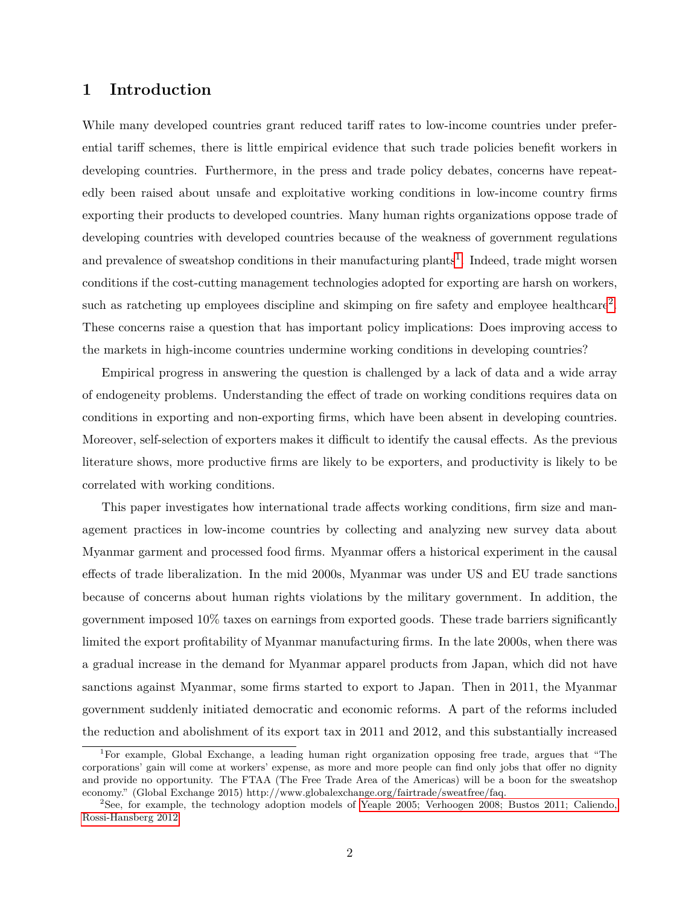## **1 Introduction**

While many developed countries grant reduced tariff rates to low-income countries under preferential tariff schemes, there is little empirical evidence that such trade policies benefit workers in developing countries. Furthermore, in the press and trade policy debates, concerns have repeatedly been raised about unsafe and exploitative working conditions in low-income country firms exporting their products to developed countries. Many human rights organizations oppose trade of developing countries with developed countries because of the weakness of government regulations and prevalence of sweatshop conditions in their manufacturing plants<sup>[1](#page-1-0)</sup>. Indeed, trade might worsen conditions if the cost-cutting management technologies adopted for exporting are harsh on workers, such as ratcheting up employees discipline and skimping on fire safety and employee healthcare<sup>[2](#page-1-1)</sup>. These concerns raise a question that has important policy implications: Does improving access to the markets in high-income countries undermine working conditions in developing countries?

Empirical progress in answering the question is challenged by a lack of data and a wide array of endogeneity problems. Understanding the effect of trade on working conditions requires data on conditions in exporting and non-exporting firms, which have been absent in developing countries. Moreover, self-selection of exporters makes it difficult to identify the causal effects. As the previous literature shows, more productive firms are likely to be exporters, and productivity is likely to be correlated with working conditions.

This paper investigates how international trade affects working conditions, firm size and management practices in low-income countries by collecting and analyzing new survey data about Myanmar garment and processed food firms. Myanmar offers a historical experiment in the causal effects of trade liberalization. In the mid 2000s, Myanmar was under US and EU trade sanctions because of concerns about human rights violations by the military government. In addition, the government imposed 10% taxes on earnings from exported goods. These trade barriers significantly limited the export profitability of Myanmar manufacturing firms. In the late 2000s, when there was a gradual increase in the demand for Myanmar apparel products from Japan, which did not have sanctions against Myanmar, some firms started to export to Japan. Then in 2011, the Myanmar government suddenly initiated democratic and economic reforms. A part of the reforms included the reduction and abolishment of its export tax in 2011 and 2012, and this substantially increased

<span id="page-1-0"></span><sup>1</sup>For example, Global Exchange, a leading human right organization opposing free trade, argues that "The corporations' gain will come at workers' expense, as more and more people can find only jobs that offer no dignity and provide no opportunity. The FTAA (The Free Trade Area of the Americas) will be a boon for the sweatshop economy." (Global Exchange 2015) http://www.globalexchange.org/fairtrade/sweatfree/faq.

<span id="page-1-1"></span><sup>2</sup>See, for example, the technology adoption models of [Yeaple 2005; Verhoogen 2008; Bustos 2011; Caliendo,](#page-31-0) [Rossi-Hansberg 2012.](#page-31-0)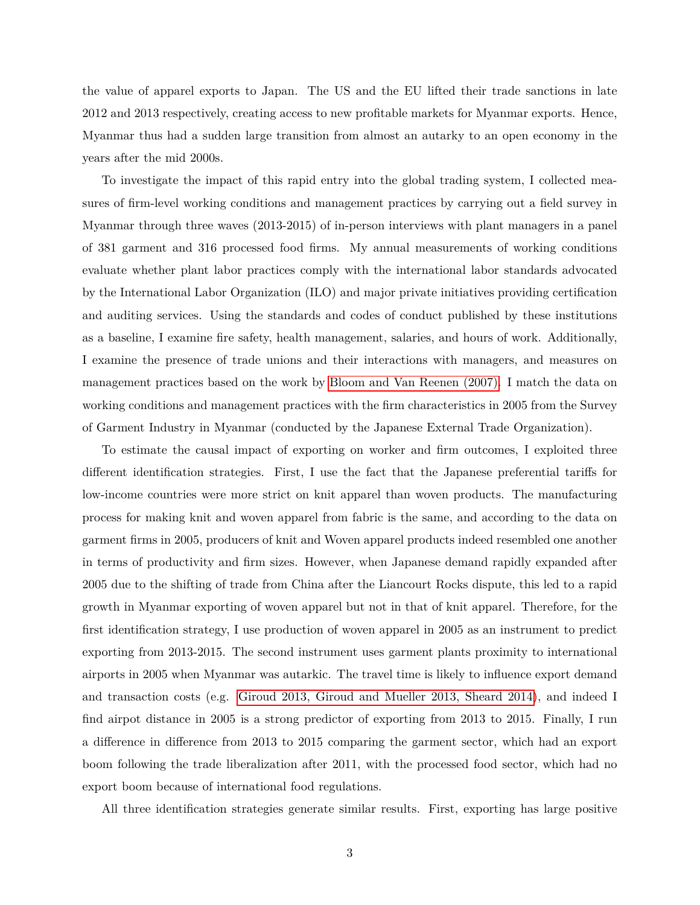the value of apparel exports to Japan. The US and the EU lifted their trade sanctions in late 2012 and 2013 respectively, creating access to new profitable markets for Myanmar exports. Hence, Myanmar thus had a sudden large transition from almost an autarky to an open economy in the years after the mid 2000s.

To investigate the impact of this rapid entry into the global trading system, I collected measures of firm-level working conditions and management practices by carrying out a field survey in Myanmar through three waves (2013-2015) of in-person interviews with plant managers in a panel of 381 garment and 316 processed food firms. My annual measurements of working conditions evaluate whether plant labor practices comply with the international labor standards advocated by the International Labor Organization (ILO) and major private initiatives providing certification and auditing services. Using the standards and codes of conduct published by these institutions as a baseline, I examine fire safety, health management, salaries, and hours of work. Additionally, I examine the presence of trade unions and their interactions with managers, and measures on management practices based on the work by [Bloom and Van Reenen \(2007\).](#page-31-0) I match the data on working conditions and management practices with the firm characteristics in 2005 from the Survey of Garment Industry in Myanmar (conducted by the Japanese External Trade Organization).

To estimate the causal impact of exporting on worker and firm outcomes, I exploited three different identification strategies. First, I use the fact that the Japanese preferential tariffs for low-income countries were more strict on knit apparel than woven products. The manufacturing process for making knit and woven apparel from fabric is the same, and according to the data on garment firms in 2005, producers of knit and Woven apparel products indeed resembled one another in terms of productivity and firm sizes. However, when Japanese demand rapidly expanded after 2005 due to the shifting of trade from China after the Liancourt Rocks dispute, this led to a rapid growth in Myanmar exporting of woven apparel but not in that of knit apparel. Therefore, for the first identification strategy, I use production of woven apparel in 2005 as an instrument to predict exporting from 2013-2015. The second instrument uses garment plants proximity to international airports in 2005 when Myanmar was autarkic. The travel time is likely to influence export demand and transaction costs (e.g. [Giroud 2013, Giroud and Mueller 2013, Sheard 2014\)](#page-31-0), and indeed I find airpot distance in 2005 is a strong predictor of exporting from 2013 to 2015. Finally, I run a difference in difference from 2013 to 2015 comparing the garment sector, which had an export boom following the trade liberalization after 2011, with the processed food sector, which had no export boom because of international food regulations.

All three identification strategies generate similar results. First, exporting has large positive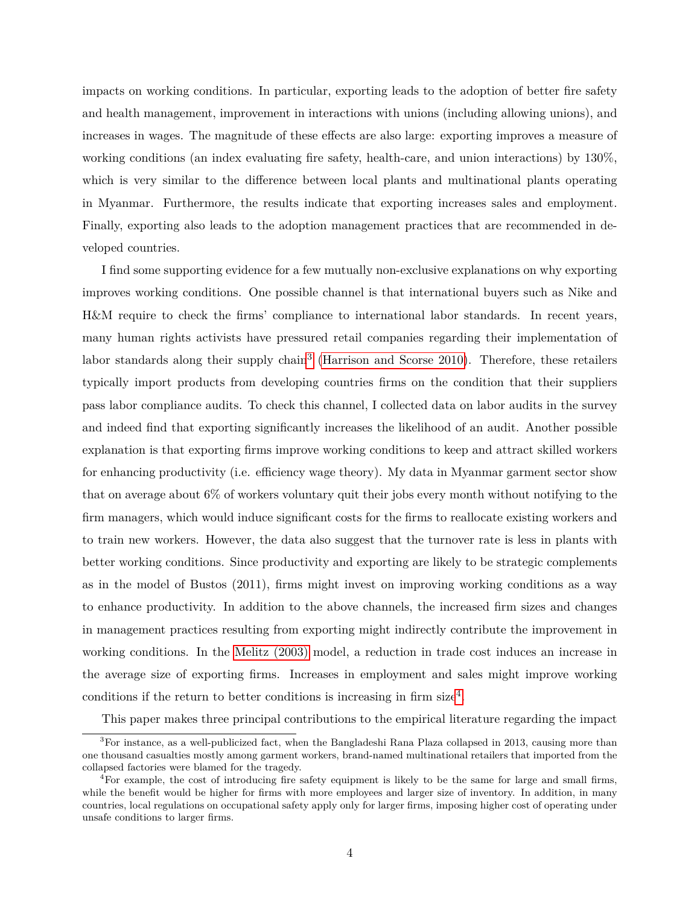impacts on working conditions. In particular, exporting leads to the adoption of better fire safety and health management, improvement in interactions with unions (including allowing unions), and increases in wages. The magnitude of these effects are also large: exporting improves a measure of working conditions (an index evaluating fire safety, health-care, and union interactions) by 130%, which is very similar to the difference between local plants and multinational plants operating in Myanmar. Furthermore, the results indicate that exporting increases sales and employment. Finally, exporting also leads to the adoption management practices that are recommended in developed countries.

I find some supporting evidence for a few mutually non-exclusive explanations on why exporting improves working conditions. One possible channel is that international buyers such as Nike and H&M require to check the firms' compliance to international labor standards. In recent years, many human rights activists have pressured retail companies regarding their implementation of labor standards along their supply chain<sup>[3](#page-3-0)</sup> [\(Harrison and Scorse 2010\)](#page-31-0). Therefore, these retailers typically import products from developing countries firms on the condition that their suppliers pass labor compliance audits. To check this channel, I collected data on labor audits in the survey and indeed find that exporting significantly increases the likelihood of an audit. Another possible explanation is that exporting firms improve working conditions to keep and attract skilled workers for enhancing productivity (i.e. efficiency wage theory). My data in Myanmar garment sector show that on average about 6% of workers voluntary quit their jobs every month without notifying to the firm managers, which would induce significant costs for the firms to reallocate existing workers and to train new workers. However, the data also suggest that the turnover rate is less in plants with better working conditions. Since productivity and exporting are likely to be strategic complements as in the model of Bustos (2011), firms might invest on improving working conditions as a way to enhance productivity. In addition to the above channels, the increased firm sizes and changes in management practices resulting from exporting might indirectly contribute the improvement in working conditions. In the [Melitz \(2003\)](#page-31-0) model, a reduction in trade cost induces an increase in the average size of exporting firms. Increases in employment and sales might improve working conditions if the return to better conditions is increasing in firm size<sup>[4](#page-3-1)</sup>.

<span id="page-3-0"></span>This paper makes three principal contributions to the empirical literature regarding the impact

<sup>&</sup>lt;sup>3</sup>For instance, as a well-publicized fact, when the Bangladeshi Rana Plaza collapsed in 2013, causing more than one thousand casualties mostly among garment workers, brand-named multinational retailers that imported from the collapsed factories were blamed for the tragedy.

<span id="page-3-1"></span><sup>&</sup>lt;sup>4</sup>For example, the cost of introducing fire safety equipment is likely to be the same for large and small firms, while the benefit would be higher for firms with more employees and larger size of inventory. In addition, in many countries, local regulations on occupational safety apply only for larger firms, imposing higher cost of operating under unsafe conditions to larger firms.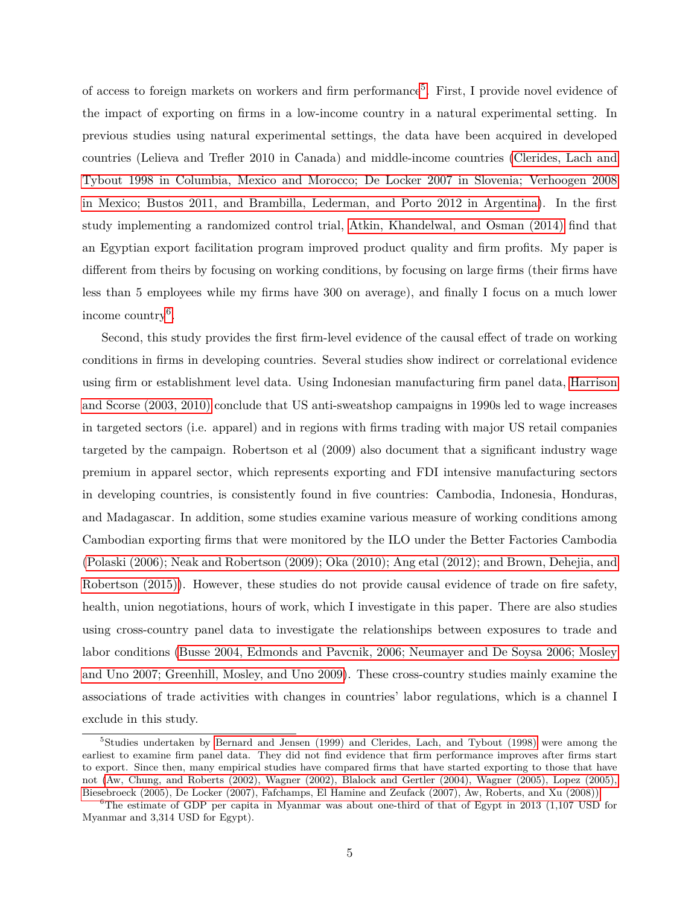of access to foreign markets on workers and firm performance<sup>[5](#page-4-0)</sup>. First, I provide novel evidence of the impact of exporting on firms in a low-income country in a natural experimental setting. In previous studies using natural experimental settings, the data have been acquired in developed countries (Lelieva and Trefler 2010 in Canada) and middle-income countries [\(Clerides, Lach and](#page-31-0) [Tybout 1998 in Columbia, Mexico and Morocco; De Locker 2007 in Slovenia; Verhoogen 2008](#page-31-0) [in Mexico; Bustos 2011, and Brambilla, Lederman, and Porto 2012 in Argentina\)](#page-31-0). In the first study implementing a randomized control trial, [Atkin, Khandelwal, and Osman \(2014\)](#page-31-0) find that an Egyptian export facilitation program improved product quality and firm profits. My paper is different from theirs by focusing on working conditions, by focusing on large firms (their firms have less than 5 employees while my firms have 300 on average), and finally I focus on a much lower income country<sup>[6](#page-4-1)</sup>.

Second, this study provides the first firm-level evidence of the causal effect of trade on working conditions in firms in developing countries. Several studies show indirect or correlational evidence using firm or establishment level data. Using Indonesian manufacturing firm panel data, [Harrison](#page-31-0) [and Scorse \(2003, 2010\)](#page-31-0) conclude that US anti-sweatshop campaigns in 1990s led to wage increases in targeted sectors (i.e. apparel) and in regions with firms trading with major US retail companies targeted by the campaign. Robertson et al (2009) also document that a significant industry wage premium in apparel sector, which represents exporting and FDI intensive manufacturing sectors in developing countries, is consistently found in five countries: Cambodia, Indonesia, Honduras, and Madagascar. In addition, some studies examine various measure of working conditions among Cambodian exporting firms that were monitored by the ILO under the Better Factories Cambodia [\(Polaski \(2006\); Neak and Robertson \(2009\); Oka \(2010\); Ang etal \(2012\); and Brown, Dehejia, and](#page-31-0) [Robertson \(2015\)\)](#page-31-0). However, these studies do not provide causal evidence of trade on fire safety, health, union negotiations, hours of work, which I investigate in this paper. There are also studies using cross-country panel data to investigate the relationships between exposures to trade and labor conditions [\(Busse 2004, Edmonds and Pavcnik, 2006; Neumayer and De Soysa 2006; Mosley](#page-31-0) [and Uno 2007; Greenhill, Mosley, and Uno 2009\)](#page-31-0). These cross-country studies mainly examine the associations of trade activities with changes in countries' labor regulations, which is a channel I exclude in this study.

<span id="page-4-0"></span><sup>&</sup>lt;sup>5</sup>Studies undertaken by [Bernard and Jensen \(1999\) and Clerides, Lach, and Tybout \(1998\)](#page-31-0) were among the earliest to examine firm panel data. They did not find evidence that firm performance improves after firms start to export. Since then, many empirical studies have compared firms that have started exporting to those that have not [\(Aw, Chung, and Roberts \(2002\), Wagner \(2002\), Blalock and Gertler \(2004\), Wagner \(2005\), Lopez \(2005\),](#page-31-0) [Biesebroeck \(2005\), De Locker \(2007\), Fafchamps, El Hamine and Zeufack \(2007\), Aw, Roberts, and Xu \(2008\)\).](#page-31-0)

<span id="page-4-1"></span> $6$ The estimate of GDP per capita in Myanmar was about one-third of that of Egypt in 2013 (1,107 USD for Myanmar and 3,314 USD for Egypt).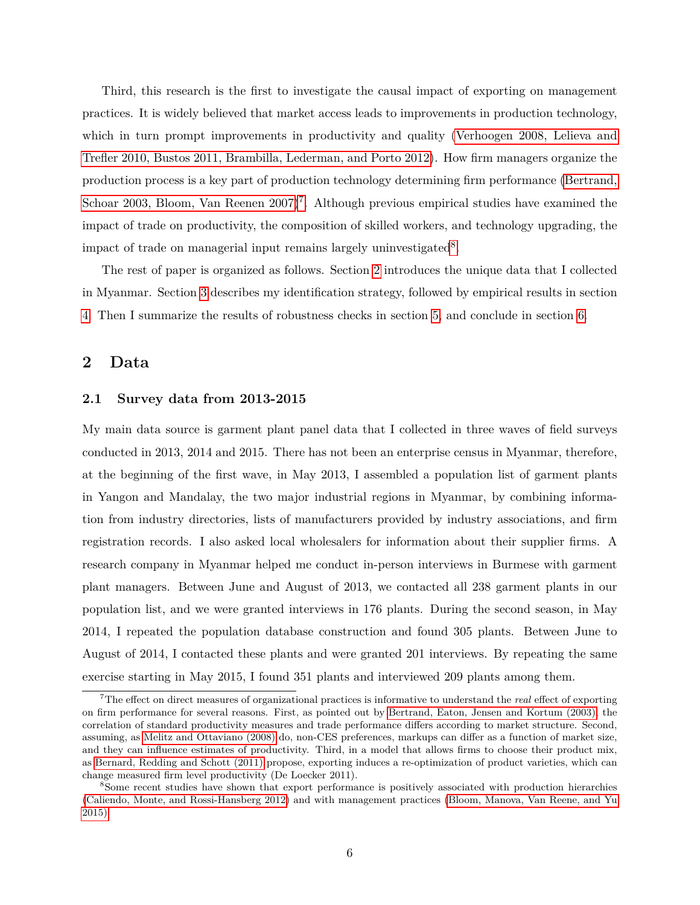Third, this research is the first to investigate the causal impact of exporting on management practices. It is widely believed that market access leads to improvements in production technology, which in turn prompt improvements in productivity and quality [\(Verhoogen 2008, Lelieva and](#page-31-0) [Trefler 2010, Bustos 2011, Brambilla, Lederman, and Porto 2012\)](#page-31-0). How firm managers organize the production process is a key part of production technology determining firm performance [\(Bertrand,](#page-31-0) [Schoar 2003, Bloom, Van Reenen 2007\)](#page-31-0)<sup>[7](#page-5-0)</sup>. Although previous empirical studies have examined the impact of trade on productivity, the composition of skilled workers, and technology upgrading, the impact of trade on managerial input remains largely uninvestigated<sup>[8](#page-5-1)</sup>.

The rest of paper is organized as follows. Section [2](#page-5-2) introduces the unique data that I collected in Myanmar. Section [3](#page-9-0) describes my identification strategy, followed by empirical results in section [4.](#page-16-0) Then I summarize the results of robustness checks in section [5,](#page-26-0) and conclude in section [6.](#page-29-0)

### <span id="page-5-2"></span>**2 Data**

#### **2.1 Survey data from 2013-2015**

My main data source is garment plant panel data that I collected in three waves of field surveys conducted in 2013, 2014 and 2015. There has not been an enterprise census in Myanmar, therefore, at the beginning of the first wave, in May 2013, I assembled a population list of garment plants in Yangon and Mandalay, the two major industrial regions in Myanmar, by combining information from industry directories, lists of manufacturers provided by industry associations, and firm registration records. I also asked local wholesalers for information about their supplier firms. A research company in Myanmar helped me conduct in-person interviews in Burmese with garment plant managers. Between June and August of 2013, we contacted all 238 garment plants in our population list, and we were granted interviews in 176 plants. During the second season, in May 2014, I repeated the population database construction and found 305 plants. Between June to August of 2014, I contacted these plants and were granted 201 interviews. By repeating the same exercise starting in May 2015, I found 351 plants and interviewed 209 plants among them.

<span id="page-5-0"></span><sup>7</sup>The effect on direct measures of organizational practices is informative to understand the *real* effect of exporting on firm performance for several reasons. First, as pointed out by [Bertrand, Eaton, Jensen and Kortum \(2003\),](#page-31-0) the correlation of standard productivity measures and trade performance differs according to market structure. Second, assuming, as [Melitz and Ottaviano \(2008\)](#page-31-0) do, non-CES preferences, markups can differ as a function of market size, and they can influence estimates of productivity. Third, in a model that allows firms to choose their product mix, as [Bernard, Redding and Schott \(2011\)](#page-31-0) propose, exporting induces a re-optimization of product varieties, which can change measured firm level productivity (De Loecker 2011).

<span id="page-5-1"></span><sup>&</sup>lt;sup>8</sup>Some recent studies have shown that export performance is positively associated with production hierarchies [\(Caliendo, Monte, and Rossi-Hansberg 2012\)](#page-31-0) and with management practices [\(Bloom, Manova, Van Reene, and Yu](#page-31-0) [2015\)](#page-31-0)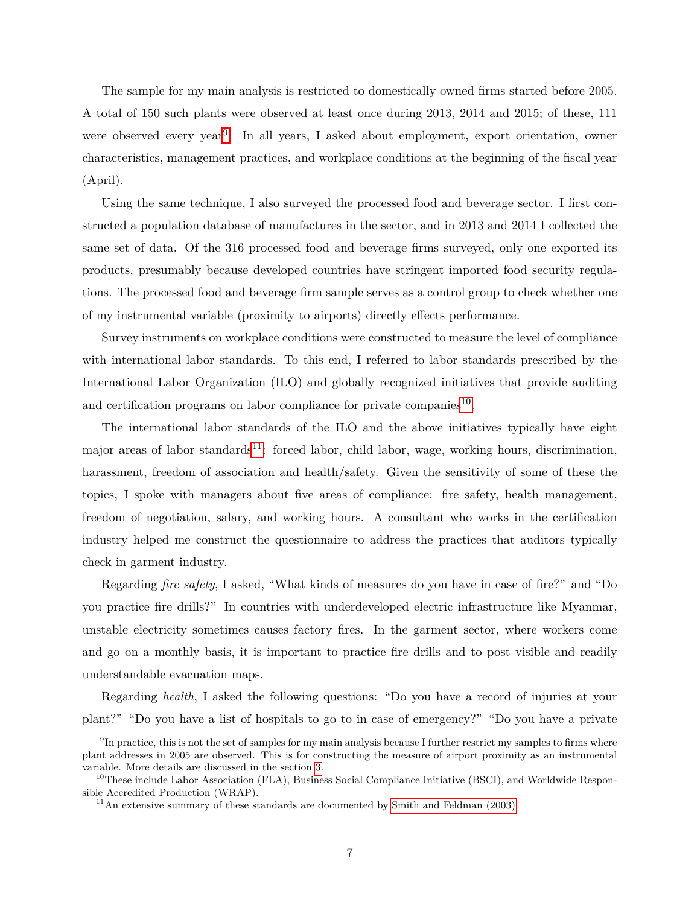The sample for my main analysis is restricted to domestically owned firms started before 2005. A total of 150 such plants were observed at least once during 2013, 2014 and 2015; of these, 111 were observed every year<sup>[9](#page-6-0)</sup>. In all years, I asked about employment, export orientation, owner characteristics, management practices, and workplace conditions at the beginning of the fiscal year (April).

Using the same technique, I also surveyed the processed food and beverage sector. I first constructed a population database of manufactures in the sector, and in 2013 and 2014 I collected the same set of data. Of the 316 processed food and beverage firms surveyed, only one exported its products, presumably because developed countries have stringent imported food security regulations. The processed food and beverage firm sample serves as a control group to check whether one of my instrumental variable (proximity to airports) directly effects performance.

Survey instruments on workplace conditions were constructed to measure the level of compliance with international labor standards. To this end, I referred to labor standards prescribed by the International Labor Organization (ILO) and globally recognized initiatives that provide auditing and certification programs on labor compliance for private companies $^{10}$  $^{10}$  $^{10}$ .

The international labor standards of the ILO and the above initiatives typically have eight major areas of labor standards<sup>[11](#page-6-2)</sup>: forced labor, child labor, wage, working hours, discrimination, harassment, freedom of association and health/safety. Given the sensitivity of some of these the topics, I spoke with managers about five areas of compliance: fire safety, health management, freedom of negotiation, salary, and working hours. A consultant who works in the certification industry helped me construct the questionnaire to address the practices that auditors typically check in garment industry.

Regarding *fire safety*, I asked, "What kinds of measures do you have in case of fire?" and "Do you practice fire drills?" In countries with underdeveloped electric infrastructure like Myanmar, unstable electricity sometimes causes factory fires. In the garment sector, where workers come and go on a monthly basis, it is important to practice fire drills and to post visible and readily understandable evacuation maps.

Regarding *health*, I asked the following questions: "Do you have a record of injuries at your plant?" "Do you have a list of hospitals to go to in case of emergency?" "Do you have a private

<span id="page-6-0"></span> $^{9}$ In practice, this is not the set of samples for my main analysis because I further restrict my samples to firms where plant addresses in 2005 are observed. This is for constructing the measure of airport proximity as an instrumental variable. More details are discussed in the section [3.](#page-9-0)

<span id="page-6-1"></span><sup>&</sup>lt;sup>10</sup>These include Labor Association (FLA), Business Social Compliance Initiative (BSCI), and Worldwide Responsible Accredited Production (WRAP).

<span id="page-6-2"></span> $11$ An extensive summary of these standards are documented by [Smith and Feldman \(2003\).](#page-31-0)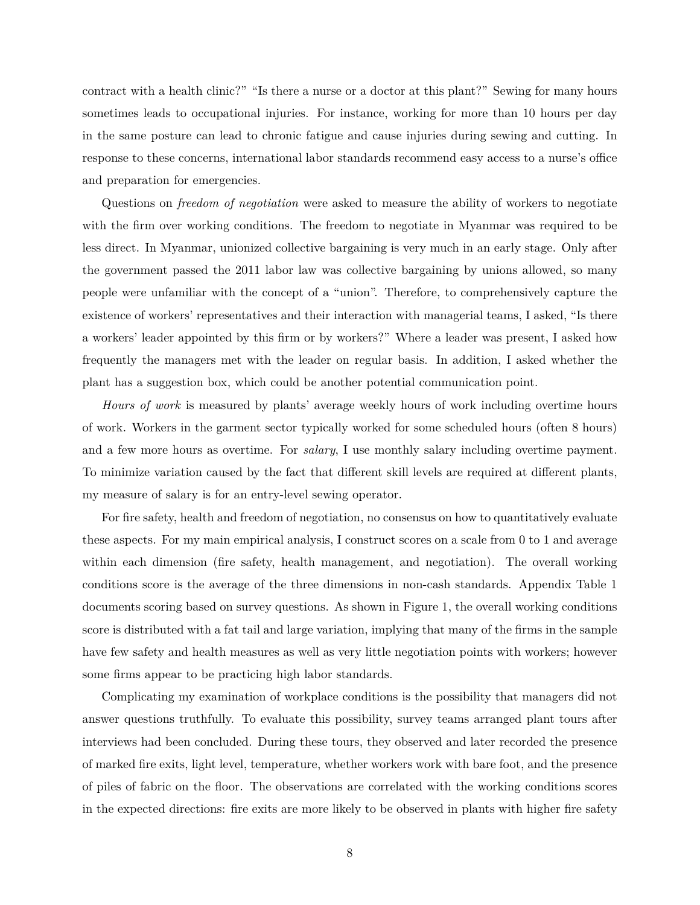contract with a health clinic?" "Is there a nurse or a doctor at this plant?" Sewing for many hours sometimes leads to occupational injuries. For instance, working for more than 10 hours per day in the same posture can lead to chronic fatigue and cause injuries during sewing and cutting. In response to these concerns, international labor standards recommend easy access to a nurse's office and preparation for emergencies.

Questions on *freedom of negotiation* were asked to measure the ability of workers to negotiate with the firm over working conditions. The freedom to negotiate in Myanmar was required to be less direct. In Myanmar, unionized collective bargaining is very much in an early stage. Only after the government passed the 2011 labor law was collective bargaining by unions allowed, so many people were unfamiliar with the concept of a "union". Therefore, to comprehensively capture the existence of workers' representatives and their interaction with managerial teams, I asked, "Is there a workers' leader appointed by this firm or by workers?" Where a leader was present, I asked how frequently the managers met with the leader on regular basis. In addition, I asked whether the plant has a suggestion box, which could be another potential communication point.

*Hours of work* is measured by plants' average weekly hours of work including overtime hours of work. Workers in the garment sector typically worked for some scheduled hours (often 8 hours) and a few more hours as overtime. For *salary*, I use monthly salary including overtime payment. To minimize variation caused by the fact that different skill levels are required at different plants, my measure of salary is for an entry-level sewing operator.

For fire safety, health and freedom of negotiation, no consensus on how to quantitatively evaluate these aspects. For my main empirical analysis, I construct scores on a scale from 0 to 1 and average within each dimension (fire safety, health management, and negotiation). The overall working conditions score is the average of the three dimensions in non-cash standards. Appendix Table 1 documents scoring based on survey questions. As shown in Figure 1, the overall working conditions score is distributed with a fat tail and large variation, implying that many of the firms in the sample have few safety and health measures as well as very little negotiation points with workers; however some firms appear to be practicing high labor standards.

Complicating my examination of workplace conditions is the possibility that managers did not answer questions truthfully. To evaluate this possibility, survey teams arranged plant tours after interviews had been concluded. During these tours, they observed and later recorded the presence of marked fire exits, light level, temperature, whether workers work with bare foot, and the presence of piles of fabric on the floor. The observations are correlated with the working conditions scores in the expected directions: fire exits are more likely to be observed in plants with higher fire safety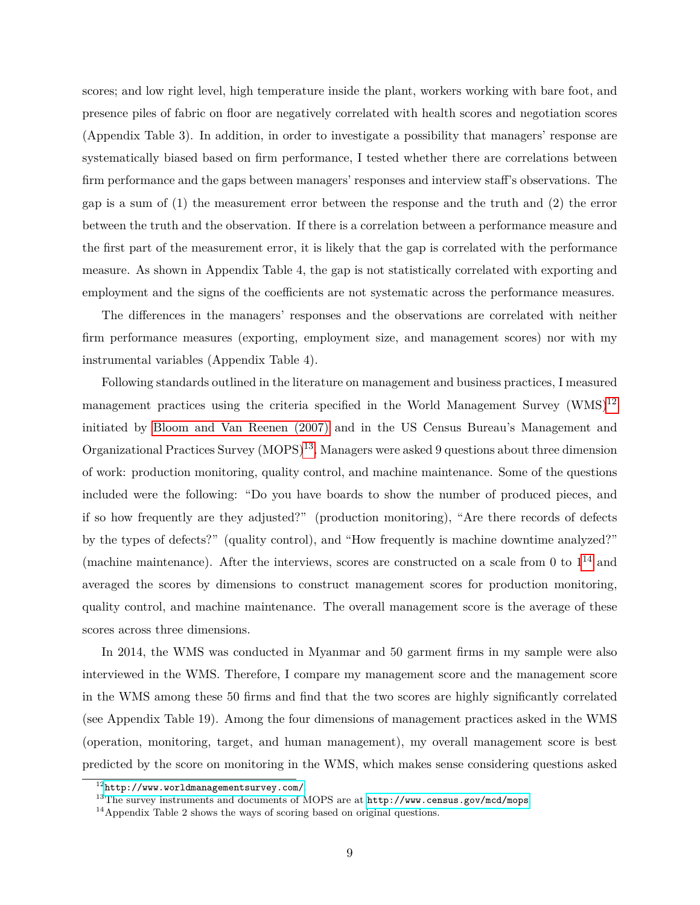scores; and low right level, high temperature inside the plant, workers working with bare foot, and presence piles of fabric on floor are negatively correlated with health scores and negotiation scores (Appendix Table 3). In addition, in order to investigate a possibility that managers' response are systematically biased based on firm performance, I tested whether there are correlations between firm performance and the gaps between managers' responses and interview staff's observations. The gap is a sum of (1) the measurement error between the response and the truth and (2) the error between the truth and the observation. If there is a correlation between a performance measure and the first part of the measurement error, it is likely that the gap is correlated with the performance measure. As shown in Appendix Table 4, the gap is not statistically correlated with exporting and employment and the signs of the coefficients are not systematic across the performance measures.

The differences in the managers' responses and the observations are correlated with neither firm performance measures (exporting, employment size, and management scores) nor with my instrumental variables (Appendix Table 4).

Following standards outlined in the literature on management and business practices, I measured management practices using the criteria specified in the World Management Survey  $(WMS)^{12}$  $(WMS)^{12}$  $(WMS)^{12}$ initiated by [Bloom and Van Reenen \(2007\)](#page-31-0) and in the US Census Bureau's Management and Organizational Practices Survey (MOPS)<sup>[13](#page-8-1)</sup>. Managers were asked 9 questions about three dimension of work: production monitoring, quality control, and machine maintenance. Some of the questions included were the following: "Do you have boards to show the number of produced pieces, and if so how frequently are they adjusted?" (production monitoring), "Are there records of defects by the types of defects?" (quality control), and "How frequently is machine downtime analyzed?" (machine maintenance). After the interviews, scores are constructed on a scale from 0 to  $1^{14}$  $1^{14}$  $1^{14}$  and averaged the scores by dimensions to construct management scores for production monitoring, quality control, and machine maintenance. The overall management score is the average of these scores across three dimensions.

In 2014, the WMS was conducted in Myanmar and 50 garment firms in my sample were also interviewed in the WMS. Therefore, I compare my management score and the management score in the WMS among these 50 firms and find that the two scores are highly significantly correlated (see Appendix Table 19). Among the four dimensions of management practices asked in the WMS (operation, monitoring, target, and human management), my overall management score is best predicted by the score on monitoring in the WMS, which makes sense considering questions asked

<span id="page-8-0"></span><sup>12</sup><http://www.worldmanagementsurvey.com/>.

<span id="page-8-1"></span><sup>&</sup>lt;sup>13</sup>The survey instruments and documents of MOPS are at <http://www.census.gov/mcd/mops>.

<span id="page-8-2"></span><sup>&</sup>lt;sup>14</sup>Appendix Table 2 shows the ways of scoring based on original questions.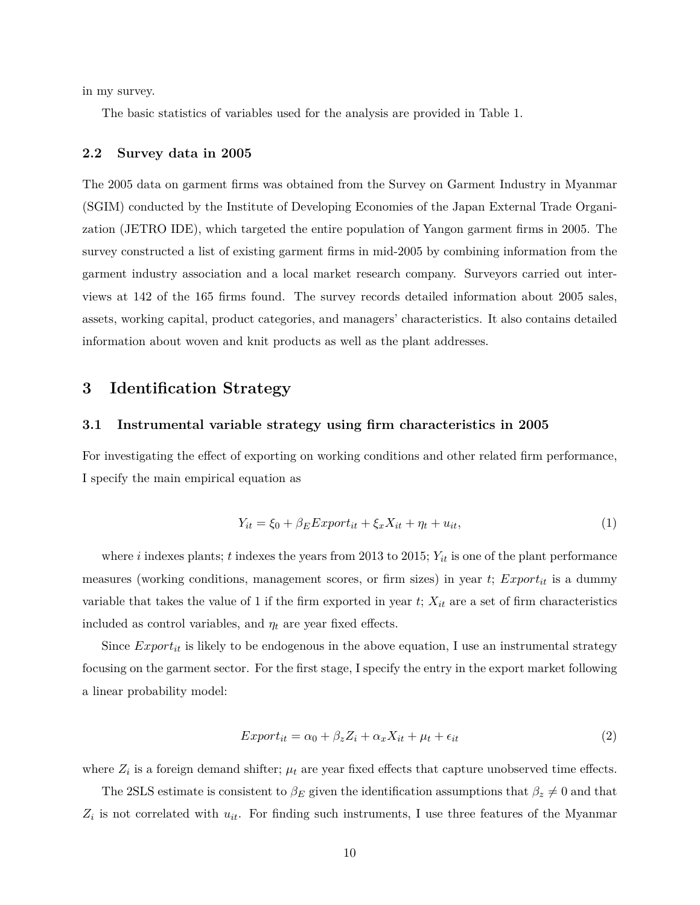in my survey.

The basic statistics of variables used for the analysis are provided in Table 1.

#### **2.2 Survey data in 2005**

The 2005 data on garment firms was obtained from the Survey on Garment Industry in Myanmar (SGIM) conducted by the Institute of Developing Economies of the Japan External Trade Organization (JETRO IDE), which targeted the entire population of Yangon garment firms in 2005. The survey constructed a list of existing garment firms in mid-2005 by combining information from the garment industry association and a local market research company. Surveyors carried out interviews at 142 of the 165 firms found. The survey records detailed information about 2005 sales, assets, working capital, product categories, and managers' characteristics. It also contains detailed information about woven and knit products as well as the plant addresses.

## <span id="page-9-0"></span>**3 Identification Strategy**

#### **3.1 Instrumental variable strategy using firm characteristics in 2005**

For investigating the effect of exporting on working conditions and other related firm performance, I specify the main empirical equation as

$$
Y_{it} = \xi_0 + \beta_E Export_{it} + \xi_x X_{it} + \eta_t + u_{it},\tag{1}
$$

where *i* indexes plants; *t* indexes the years from 2013 to 2015; *Yit* is one of the plant performance measures (working conditions, management scores, or firm sizes) in year *t*; *Exportit* is a dummy variable that takes the value of 1 if the firm exported in year  $t$ ;  $X_{it}$  are a set of firm characteristics included as control variables, and  $\eta_t$  are year fixed effects.

Since  $Expert_{it}$  is likely to be endogenous in the above equation, I use an instrumental strategy focusing on the garment sector. For the first stage, I specify the entry in the export market following a linear probability model:

$$
Export_{it} = \alpha_0 + \beta_z Z_i + \alpha_x X_{it} + \mu_t + \epsilon_{it}
$$
\n<sup>(2)</sup>

where  $Z_i$  is a foreign demand shifter;  $\mu_t$  are year fixed effects that capture unobserved time effects.

The 2SLS estimate is consistent to  $\beta_E$  given the identification assumptions that  $\beta_z \neq 0$  and that  $Z_i$  is not correlated with  $u_{it}$ . For finding such instruments, I use three features of the Myanmar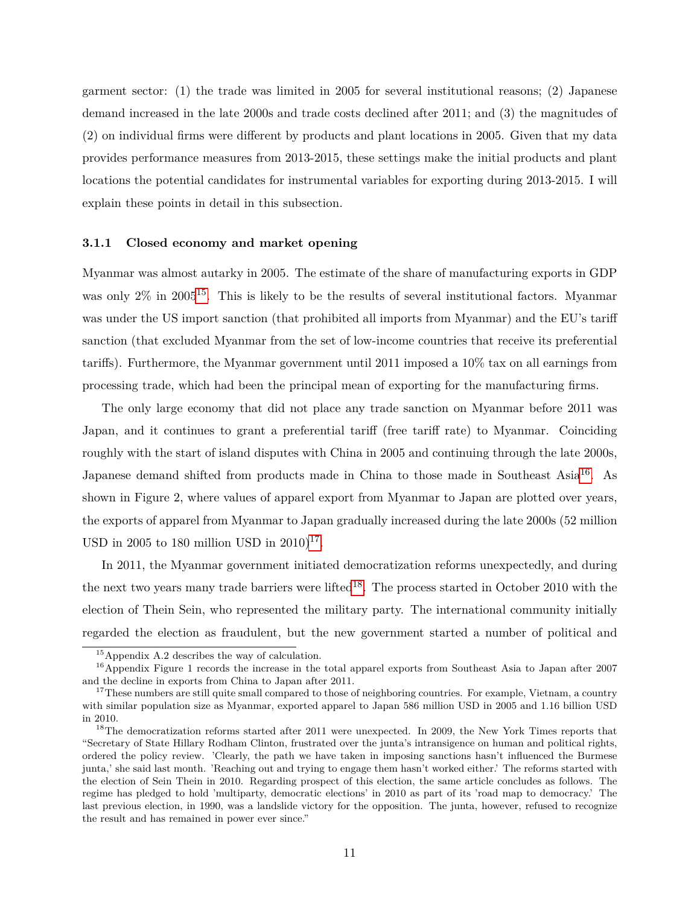garment sector: (1) the trade was limited in 2005 for several institutional reasons; (2) Japanese demand increased in the late 2000s and trade costs declined after 2011; and (3) the magnitudes of (2) on individual firms were different by products and plant locations in 2005. Given that my data provides performance measures from 2013-2015, these settings make the initial products and plant locations the potential candidates for instrumental variables for exporting during 2013-2015. I will explain these points in detail in this subsection.

#### **3.1.1 Closed economy and market opening**

Myanmar was almost autarky in 2005. The estimate of the share of manufacturing exports in GDP was only  $2\%$  in 2005<sup>[15](#page-10-0)</sup>. This is likely to be the results of several institutional factors. Myanmar was under the US import sanction (that prohibited all imports from Myanmar) and the EU's tariff sanction (that excluded Myanmar from the set of low-income countries that receive its preferential tariffs). Furthermore, the Myanmar government until 2011 imposed a 10% tax on all earnings from processing trade, which had been the principal mean of exporting for the manufacturing firms.

The only large economy that did not place any trade sanction on Myanmar before 2011 was Japan, and it continues to grant a preferential tariff (free tariff rate) to Myanmar. Coinciding roughly with the start of island disputes with China in 2005 and continuing through the late 2000s, Japanese demand shifted from products made in China to those made in Southeast Asia<sup>[16](#page-10-1)</sup>. As shown in Figure 2, where values of apparel export from Myanmar to Japan are plotted over years, the exports of apparel from Myanmar to Japan gradually increased during the late 2000s (52 million USD in 2005 to 180 million USD in  $2010$ <sup>[17](#page-10-2)</sup>.

In 2011, the Myanmar government initiated democratization reforms unexpectedly, and during the next two years many trade barriers were lifted<sup>[18](#page-10-3)</sup>. The process started in October 2010 with the election of Thein Sein, who represented the military party. The international community initially regarded the election as fraudulent, but the new government started a number of political and

<span id="page-10-1"></span><span id="page-10-0"></span><sup>15</sup>Appendix A.2 describes the way of calculation.

<sup>16</sup>Appendix Figure 1 records the increase in the total apparel exports from Southeast Asia to Japan after 2007 and the decline in exports from China to Japan after 2011.

<span id="page-10-2"></span> $17$ These numbers are still quite small compared to those of neighboring countries. For example, Vietnam, a country with similar population size as Myanmar, exported apparel to Japan 586 million USD in 2005 and 1.16 billion USD in 2010.

<span id="page-10-3"></span><sup>&</sup>lt;sup>18</sup>The democratization reforms started after 2011 were unexpected. In 2009, the New York Times reports that "Secretary of State Hillary Rodham Clinton, frustrated over the junta's intransigence on human and political rights, ordered the policy review. 'Clearly, the path we have taken in imposing sanctions hasn't influenced the Burmese junta,' she said last month. 'Reaching out and trying to engage them hasn't worked either.' The reforms started with the election of Sein Thein in 2010. Regarding prospect of this election, the same article concludes as follows. The regime has pledged to hold 'multiparty, democratic elections' in 2010 as part of its 'road map to democracy.' The last previous election, in 1990, was a landslide victory for the opposition. The junta, however, refused to recognize the result and has remained in power ever since."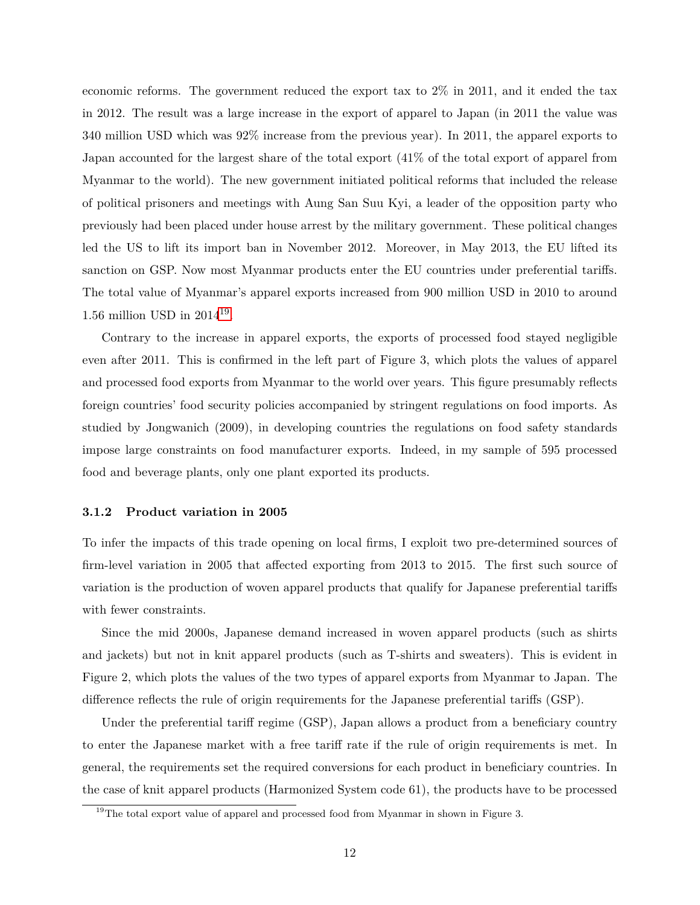economic reforms. The government reduced the export tax to 2% in 2011, and it ended the tax in 2012. The result was a large increase in the export of apparel to Japan (in 2011 the value was 340 million USD which was 92% increase from the previous year). In 2011, the apparel exports to Japan accounted for the largest share of the total export (41% of the total export of apparel from Myanmar to the world). The new government initiated political reforms that included the release of political prisoners and meetings with Aung San Suu Kyi, a leader of the opposition party who previously had been placed under house arrest by the military government. These political changes led the US to lift its import ban in November 2012. Moreover, in May 2013, the EU lifted its sanction on GSP. Now most Myanmar products enter the EU countries under preferential tariffs. The total value of Myanmar's apparel exports increased from 900 million USD in 2010 to around 1.56 million USD in 2014[19](#page-11-0) .

Contrary to the increase in apparel exports, the exports of processed food stayed negligible even after 2011. This is confirmed in the left part of Figure 3, which plots the values of apparel and processed food exports from Myanmar to the world over years. This figure presumably reflects foreign countries' food security policies accompanied by stringent regulations on food imports. As studied by Jongwanich (2009), in developing countries the regulations on food safety standards impose large constraints on food manufacturer exports. Indeed, in my sample of 595 processed food and beverage plants, only one plant exported its products.

#### **3.1.2 Product variation in 2005**

To infer the impacts of this trade opening on local firms, I exploit two pre-determined sources of firm-level variation in 2005 that affected exporting from 2013 to 2015. The first such source of variation is the production of woven apparel products that qualify for Japanese preferential tariffs with fewer constraints.

Since the mid 2000s, Japanese demand increased in woven apparel products (such as shirts and jackets) but not in knit apparel products (such as T-shirts and sweaters). This is evident in Figure 2, which plots the values of the two types of apparel exports from Myanmar to Japan. The difference reflects the rule of origin requirements for the Japanese preferential tariffs (GSP).

Under the preferential tariff regime (GSP), Japan allows a product from a beneficiary country to enter the Japanese market with a free tariff rate if the rule of origin requirements is met. In general, the requirements set the required conversions for each product in beneficiary countries. In the case of knit apparel products (Harmonized System code 61), the products have to be processed

<span id="page-11-0"></span><sup>&</sup>lt;sup>19</sup>The total export value of apparel and processed food from Myanmar in shown in Figure 3.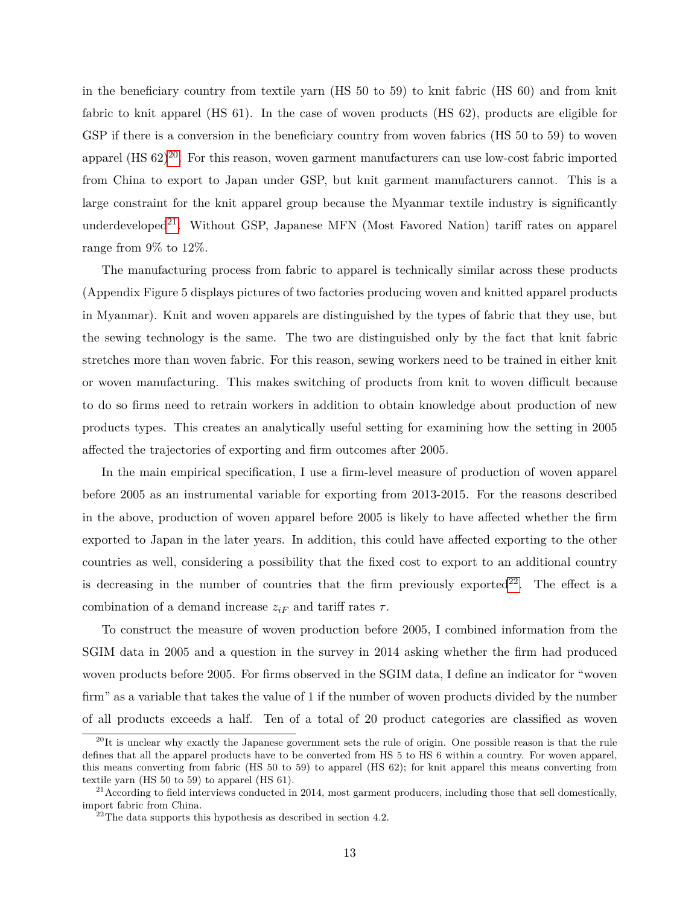in the beneficiary country from textile yarn (HS 50 to 59) to knit fabric (HS 60) and from knit fabric to knit apparel (HS 61). In the case of woven products (HS 62), products are eligible for GSP if there is a conversion in the beneficiary country from woven fabrics (HS 50 to 59) to woven apparel  $(HS 62)^{20}$  $(HS 62)^{20}$  $(HS 62)^{20}$ . For this reason, woven garment manufacturers can use low-cost fabric imported from China to export to Japan under GSP, but knit garment manufacturers cannot. This is a large constraint for the knit apparel group because the Myanmar textile industry is significantly underdeveloped<sup>[21](#page-12-1)</sup>. Without GSP, Japanese MFN (Most Favored Nation) tariff rates on apparel range from 9% to 12%.

The manufacturing process from fabric to apparel is technically similar across these products (Appendix Figure 5 displays pictures of two factories producing woven and knitted apparel products in Myanmar). Knit and woven apparels are distinguished by the types of fabric that they use, but the sewing technology is the same. The two are distinguished only by the fact that knit fabric stretches more than woven fabric. For this reason, sewing workers need to be trained in either knit or woven manufacturing. This makes switching of products from knit to woven difficult because to do so firms need to retrain workers in addition to obtain knowledge about production of new products types. This creates an analytically useful setting for examining how the setting in 2005 affected the trajectories of exporting and firm outcomes after 2005.

In the main empirical specification, I use a firm-level measure of production of woven apparel before 2005 as an instrumental variable for exporting from 2013-2015. For the reasons described in the above, production of woven apparel before 2005 is likely to have affected whether the firm exported to Japan in the later years. In addition, this could have affected exporting to the other countries as well, considering a possibility that the fixed cost to export to an additional country is decreasing in the number of countries that the firm previously exported  $22$ . The effect is a combination of a demand increase  $z_{iF}$  and tariff rates  $\tau$ .

To construct the measure of woven production before 2005, I combined information from the SGIM data in 2005 and a question in the survey in 2014 asking whether the firm had produced woven products before 2005. For firms observed in the SGIM data, I define an indicator for "woven firm" as a variable that takes the value of 1 if the number of woven products divided by the number of all products exceeds a half. Ten of a total of 20 product categories are classified as woven

<span id="page-12-0"></span> $^{20}$ It is unclear why exactly the Japanese government sets the rule of origin. One possible reason is that the rule defines that all the apparel products have to be converted from HS 5 to HS 6 within a country. For woven apparel, this means converting from fabric (HS 50 to 59) to apparel (HS 62); for knit apparel this means converting from textile yarn (HS 50 to 59) to apparel (HS 61).

<span id="page-12-1"></span> $^{21}$  According to field interviews conducted in 2014, most garment producers, including those that sell domestically, import fabric from China.

<span id="page-12-2"></span> $22$ <sup>22</sup>The data supports this hypothesis as described in section 4.2.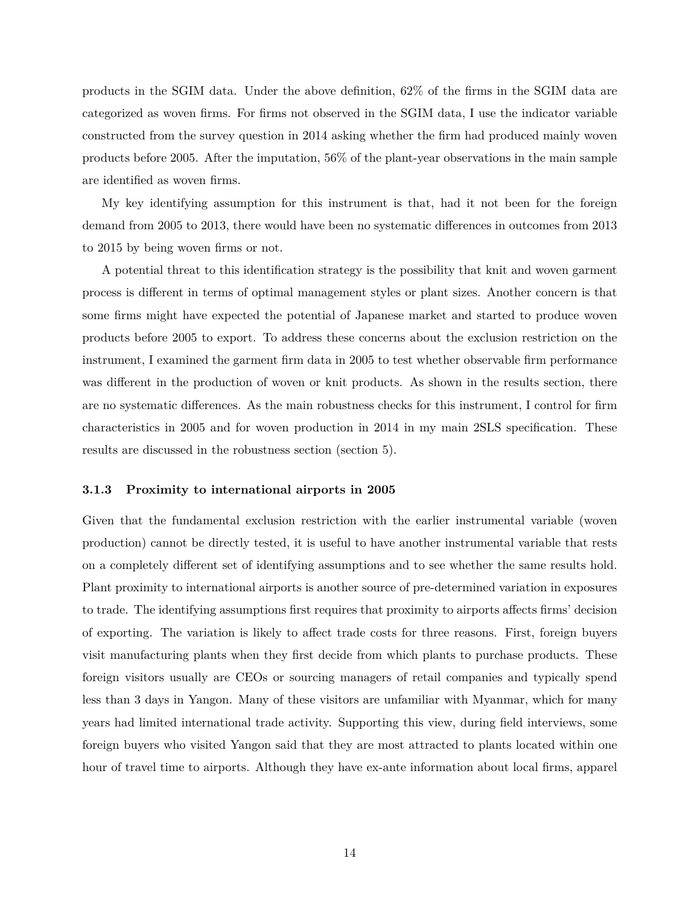products in the SGIM data. Under the above definition, 62% of the firms in the SGIM data are categorized as woven firms. For firms not observed in the SGIM data, I use the indicator variable constructed from the survey question in 2014 asking whether the firm had produced mainly woven products before 2005. After the imputation, 56% of the plant-year observations in the main sample are identified as woven firms.

My key identifying assumption for this instrument is that, had it not been for the foreign demand from 2005 to 2013, there would have been no systematic differences in outcomes from 2013 to 2015 by being woven firms or not.

A potential threat to this identification strategy is the possibility that knit and woven garment process is different in terms of optimal management styles or plant sizes. Another concern is that some firms might have expected the potential of Japanese market and started to produce woven products before 2005 to export. To address these concerns about the exclusion restriction on the instrument, I examined the garment firm data in 2005 to test whether observable firm performance was different in the production of woven or knit products. As shown in the results section, there are no systematic differences. As the main robustness checks for this instrument, I control for firm characteristics in 2005 and for woven production in 2014 in my main 2SLS specification. These results are discussed in the robustness section (section 5).

#### **3.1.3 Proximity to international airports in 2005**

Given that the fundamental exclusion restriction with the earlier instrumental variable (woven production) cannot be directly tested, it is useful to have another instrumental variable that rests on a completely different set of identifying assumptions and to see whether the same results hold. Plant proximity to international airports is another source of pre-determined variation in exposures to trade. The identifying assumptions first requires that proximity to airports affects firms' decision of exporting. The variation is likely to affect trade costs for three reasons. First, foreign buyers visit manufacturing plants when they first decide from which plants to purchase products. These foreign visitors usually are CEOs or sourcing managers of retail companies and typically spend less than 3 days in Yangon. Many of these visitors are unfamiliar with Myanmar, which for many years had limited international trade activity. Supporting this view, during field interviews, some foreign buyers who visited Yangon said that they are most attracted to plants located within one hour of travel time to airports. Although they have ex-ante information about local firms, apparel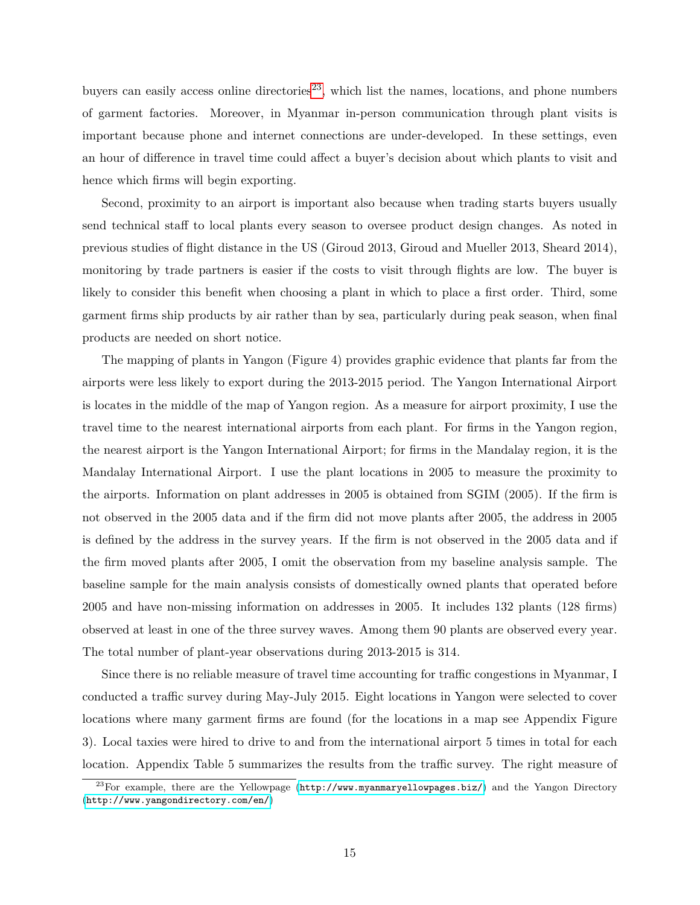buyers can easily access online directories<sup>[23](#page-14-0)</sup>, which list the names, locations, and phone numbers of garment factories. Moreover, in Myanmar in-person communication through plant visits is important because phone and internet connections are under-developed. In these settings, even an hour of difference in travel time could affect a buyer's decision about which plants to visit and hence which firms will begin exporting.

Second, proximity to an airport is important also because when trading starts buyers usually send technical staff to local plants every season to oversee product design changes. As noted in previous studies of flight distance in the US (Giroud 2013, Giroud and Mueller 2013, Sheard 2014), monitoring by trade partners is easier if the costs to visit through flights are low. The buyer is likely to consider this benefit when choosing a plant in which to place a first order. Third, some garment firms ship products by air rather than by sea, particularly during peak season, when final products are needed on short notice.

The mapping of plants in Yangon (Figure 4) provides graphic evidence that plants far from the airports were less likely to export during the 2013-2015 period. The Yangon International Airport is locates in the middle of the map of Yangon region. As a measure for airport proximity, I use the travel time to the nearest international airports from each plant. For firms in the Yangon region, the nearest airport is the Yangon International Airport; for firms in the Mandalay region, it is the Mandalay International Airport. I use the plant locations in 2005 to measure the proximity to the airports. Information on plant addresses in 2005 is obtained from SGIM (2005). If the firm is not observed in the 2005 data and if the firm did not move plants after 2005, the address in 2005 is defined by the address in the survey years. If the firm is not observed in the 2005 data and if the firm moved plants after 2005, I omit the observation from my baseline analysis sample. The baseline sample for the main analysis consists of domestically owned plants that operated before 2005 and have non-missing information on addresses in 2005. It includes 132 plants (128 firms) observed at least in one of the three survey waves. Among them 90 plants are observed every year. The total number of plant-year observations during 2013-2015 is 314.

Since there is no reliable measure of travel time accounting for traffic congestions in Myanmar, I conducted a traffic survey during May-July 2015. Eight locations in Yangon were selected to cover locations where many garment firms are found (for the locations in a map see Appendix Figure 3). Local taxies were hired to drive to and from the international airport 5 times in total for each location. Appendix Table 5 summarizes the results from the traffic survey. The right measure of

<span id="page-14-0"></span><sup>&</sup>lt;sup>23</sup>For example, there are the Yellowpage (<http://www.myanmaryellowpages.biz/>) and the Yangon Directory (<http://www.yangondirectory.com/en/>)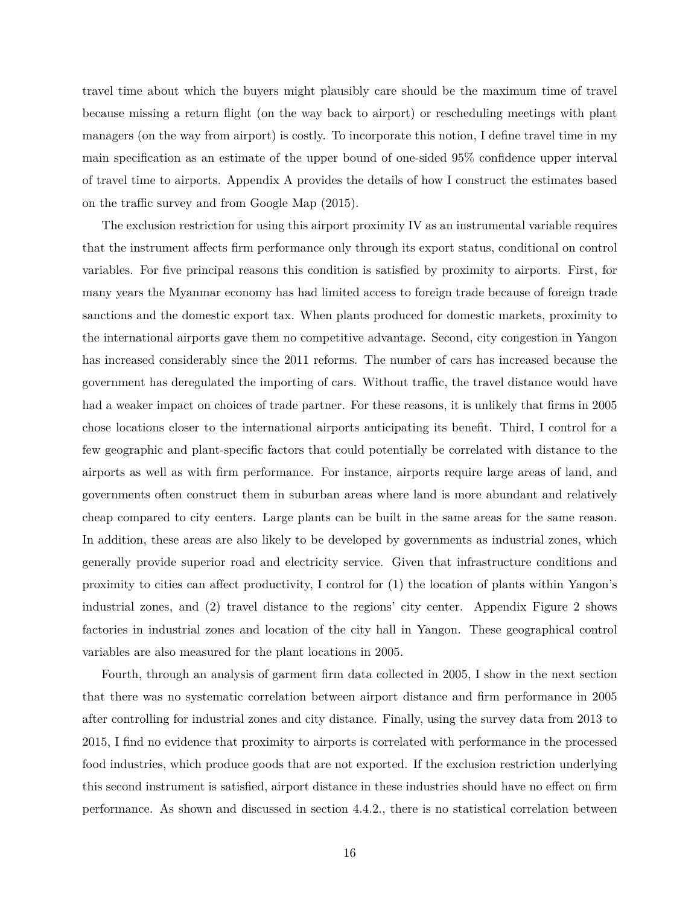travel time about which the buyers might plausibly care should be the maximum time of travel because missing a return flight (on the way back to airport) or rescheduling meetings with plant managers (on the way from airport) is costly. To incorporate this notion, I define travel time in my main specification as an estimate of the upper bound of one-sided 95% confidence upper interval of travel time to airports. Appendix A provides the details of how I construct the estimates based on the traffic survey and from Google Map (2015).

The exclusion restriction for using this airport proximity IV as an instrumental variable requires that the instrument affects firm performance only through its export status, conditional on control variables. For five principal reasons this condition is satisfied by proximity to airports. First, for many years the Myanmar economy has had limited access to foreign trade because of foreign trade sanctions and the domestic export tax. When plants produced for domestic markets, proximity to the international airports gave them no competitive advantage. Second, city congestion in Yangon has increased considerably since the 2011 reforms. The number of cars has increased because the government has deregulated the importing of cars. Without traffic, the travel distance would have had a weaker impact on choices of trade partner. For these reasons, it is unlikely that firms in 2005 chose locations closer to the international airports anticipating its benefit. Third, I control for a few geographic and plant-specific factors that could potentially be correlated with distance to the airports as well as with firm performance. For instance, airports require large areas of land, and governments often construct them in suburban areas where land is more abundant and relatively cheap compared to city centers. Large plants can be built in the same areas for the same reason. In addition, these areas are also likely to be developed by governments as industrial zones, which generally provide superior road and electricity service. Given that infrastructure conditions and proximity to cities can affect productivity, I control for (1) the location of plants within Yangon's industrial zones, and (2) travel distance to the regions' city center. Appendix Figure 2 shows factories in industrial zones and location of the city hall in Yangon. These geographical control variables are also measured for the plant locations in 2005.

Fourth, through an analysis of garment firm data collected in 2005, I show in the next section that there was no systematic correlation between airport distance and firm performance in 2005 after controlling for industrial zones and city distance. Finally, using the survey data from 2013 to 2015, I find no evidence that proximity to airports is correlated with performance in the processed food industries, which produce goods that are not exported. If the exclusion restriction underlying this second instrument is satisfied, airport distance in these industries should have no effect on firm performance. As shown and discussed in section 4.4.2., there is no statistical correlation between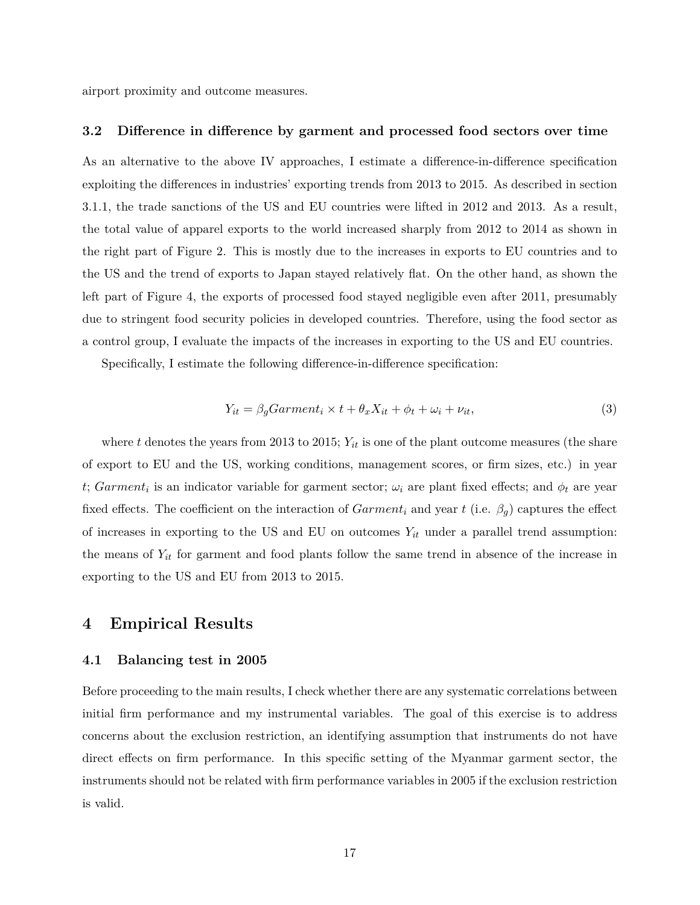airport proximity and outcome measures.

#### **3.2 Difference in difference by garment and processed food sectors over time**

As an alternative to the above IV approaches, I estimate a difference-in-difference specification exploiting the differences in industries' exporting trends from 2013 to 2015. As described in section 3.1.1, the trade sanctions of the US and EU countries were lifted in 2012 and 2013. As a result, the total value of apparel exports to the world increased sharply from 2012 to 2014 as shown in the right part of Figure 2. This is mostly due to the increases in exports to EU countries and to the US and the trend of exports to Japan stayed relatively flat. On the other hand, as shown the left part of Figure 4, the exports of processed food stayed negligible even after 2011, presumably due to stringent food security policies in developed countries. Therefore, using the food sector as a control group, I evaluate the impacts of the increases in exporting to the US and EU countries.

Specifically, I estimate the following difference-in-difference specification:

$$
Y_{it} = \beta_g Garment_i \times t + \theta_x X_{it} + \phi_t + \omega_i + \nu_{it}, \tag{3}
$$

where  $t$  denotes the years from 2013 to 2015;  $Y_{it}$  is one of the plant outcome measures (the share of export to EU and the US, working conditions, management scores, or firm sizes, etc.) in year *t*; *Garment<sub>i</sub>* is an indicator variable for garment sector;  $\omega_i$  are plant fixed effects; and  $\phi_t$  are year fixed effects. The coefficient on the interaction of  $Garment_i$  and year t (i.e.  $\beta_g$ ) captures the effect of increases in exporting to the US and EU on outcomes *Yit* under a parallel trend assumption: the means of *Yit* for garment and food plants follow the same trend in absence of the increase in exporting to the US and EU from 2013 to 2015.

## <span id="page-16-0"></span>**4 Empirical Results**

#### **4.1 Balancing test in 2005**

Before proceeding to the main results, I check whether there are any systematic correlations between initial firm performance and my instrumental variables. The goal of this exercise is to address concerns about the exclusion restriction, an identifying assumption that instruments do not have direct effects on firm performance. In this specific setting of the Myanmar garment sector, the instruments should not be related with firm performance variables in 2005 if the exclusion restriction is valid.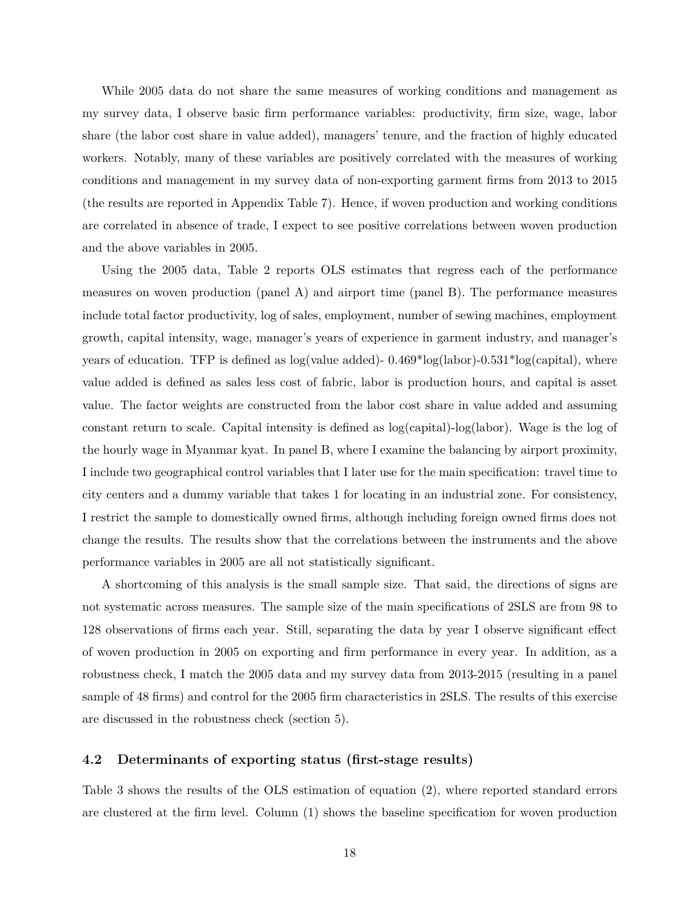While 2005 data do not share the same measures of working conditions and management as my survey data, I observe basic firm performance variables: productivity, firm size, wage, labor share (the labor cost share in value added), managers' tenure, and the fraction of highly educated workers. Notably, many of these variables are positively correlated with the measures of working conditions and management in my survey data of non-exporting garment firms from 2013 to 2015 (the results are reported in Appendix Table 7). Hence, if woven production and working conditions are correlated in absence of trade, I expect to see positive correlations between woven production and the above variables in 2005.

Using the 2005 data, Table 2 reports OLS estimates that regress each of the performance measures on woven production (panel A) and airport time (panel B). The performance measures include total factor productivity, log of sales, employment, number of sewing machines, employment growth, capital intensity, wage, manager's years of experience in garment industry, and manager's years of education. TFP is defined as  $log($ value added)-  $0.469*log($ labor)- $0.531*log(capital)$ , where value added is defined as sales less cost of fabric, labor is production hours, and capital is asset value. The factor weights are constructed from the labor cost share in value added and assuming constant return to scale. Capital intensity is defined as log(capital)-log(labor). Wage is the log of the hourly wage in Myanmar kyat. In panel B, where I examine the balancing by airport proximity, I include two geographical control variables that I later use for the main specification: travel time to city centers and a dummy variable that takes 1 for locating in an industrial zone. For consistency, I restrict the sample to domestically owned firms, although including foreign owned firms does not change the results. The results show that the correlations between the instruments and the above performance variables in 2005 are all not statistically significant.

A shortcoming of this analysis is the small sample size. That said, the directions of signs are not systematic across measures. The sample size of the main specifications of 2SLS are from 98 to 128 observations of firms each year. Still, separating the data by year I observe significant effect of woven production in 2005 on exporting and firm performance in every year. In addition, as a robustness check, I match the 2005 data and my survey data from 2013-2015 (resulting in a panel sample of 48 firms) and control for the 2005 firm characteristics in 2SLS. The results of this exercise are discussed in the robustness check (section 5).

#### **4.2 Determinants of exporting status (first-stage results)**

Table 3 shows the results of the OLS estimation of equation (2), where reported standard errors are clustered at the firm level. Column (1) shows the baseline specification for woven production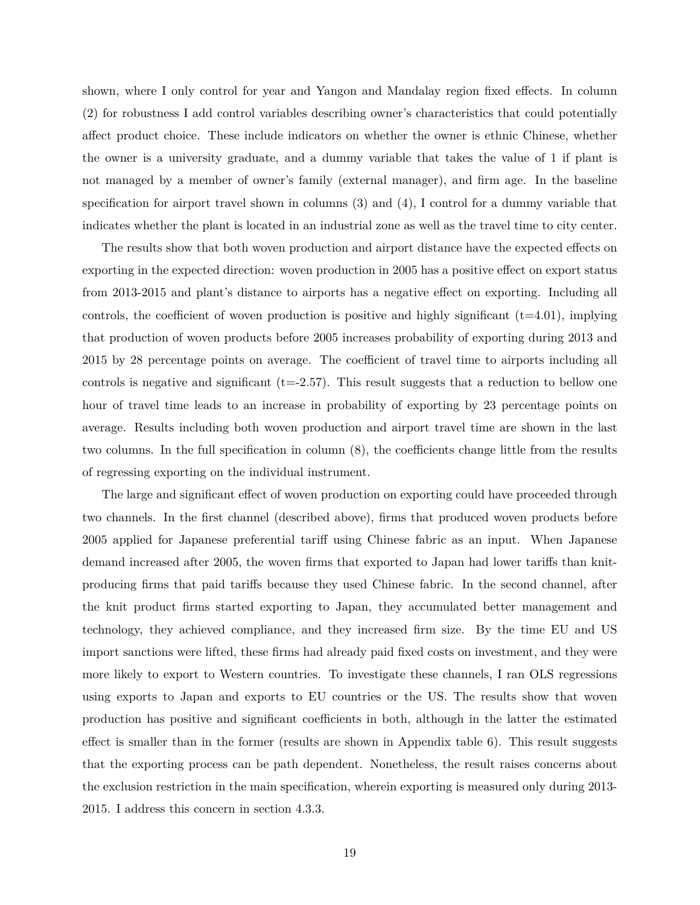shown, where I only control for year and Yangon and Mandalay region fixed effects. In column (2) for robustness I add control variables describing owner's characteristics that could potentially affect product choice. These include indicators on whether the owner is ethnic Chinese, whether the owner is a university graduate, and a dummy variable that takes the value of 1 if plant is not managed by a member of owner's family (external manager), and firm age. In the baseline specification for airport travel shown in columns (3) and (4), I control for a dummy variable that indicates whether the plant is located in an industrial zone as well as the travel time to city center.

The results show that both woven production and airport distance have the expected effects on exporting in the expected direction: woven production in 2005 has a positive effect on export status from 2013-2015 and plant's distance to airports has a negative effect on exporting. Including all controls, the coefficient of woven production is positive and highly significant  $(t=4.01)$ , implying that production of woven products before 2005 increases probability of exporting during 2013 and 2015 by 28 percentage points on average. The coefficient of travel time to airports including all controls is negative and significant  $(t=-2.57)$ . This result suggests that a reduction to bellow one hour of travel time leads to an increase in probability of exporting by 23 percentage points on average. Results including both woven production and airport travel time are shown in the last two columns. In the full specification in column (8), the coefficients change little from the results of regressing exporting on the individual instrument.

The large and significant effect of woven production on exporting could have proceeded through two channels. In the first channel (described above), firms that produced woven products before 2005 applied for Japanese preferential tariff using Chinese fabric as an input. When Japanese demand increased after 2005, the woven firms that exported to Japan had lower tariffs than knitproducing firms that paid tariffs because they used Chinese fabric. In the second channel, after the knit product firms started exporting to Japan, they accumulated better management and technology, they achieved compliance, and they increased firm size. By the time EU and US import sanctions were lifted, these firms had already paid fixed costs on investment, and they were more likely to export to Western countries. To investigate these channels, I ran OLS regressions using exports to Japan and exports to EU countries or the US. The results show that woven production has positive and significant coefficients in both, although in the latter the estimated effect is smaller than in the former (results are shown in Appendix table 6). This result suggests that the exporting process can be path dependent. Nonetheless, the result raises concerns about the exclusion restriction in the main specification, wherein exporting is measured only during 2013- 2015. I address this concern in section 4.3.3.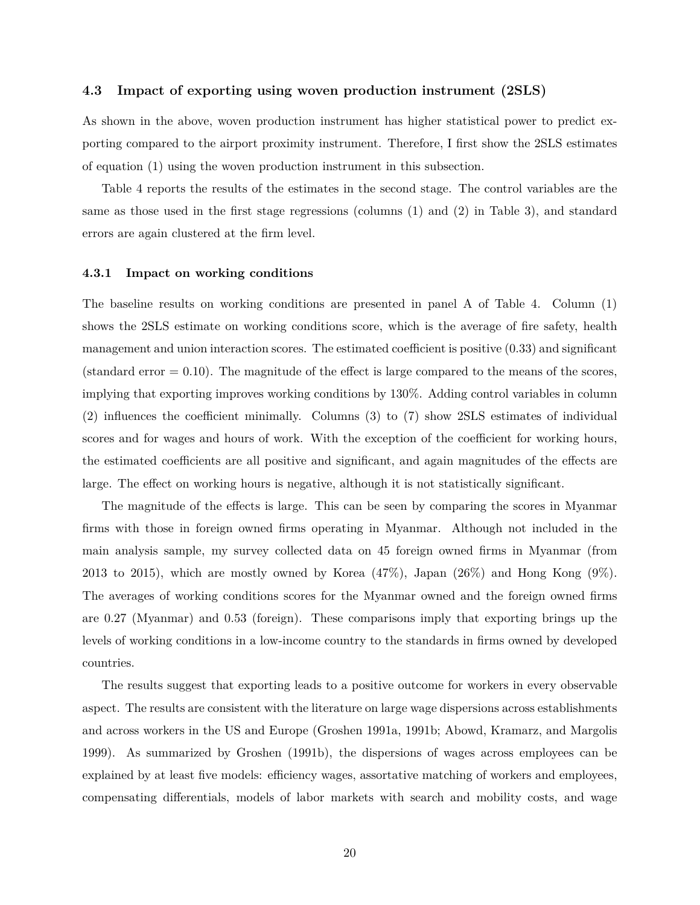#### **4.3 Impact of exporting using woven production instrument (2SLS)**

As shown in the above, woven production instrument has higher statistical power to predict exporting compared to the airport proximity instrument. Therefore, I first show the 2SLS estimates of equation (1) using the woven production instrument in this subsection.

Table 4 reports the results of the estimates in the second stage. The control variables are the same as those used in the first stage regressions (columns (1) and (2) in Table 3), and standard errors are again clustered at the firm level.

#### **4.3.1 Impact on working conditions**

The baseline results on working conditions are presented in panel A of Table 4. Column (1) shows the 2SLS estimate on working conditions score, which is the average of fire safety, health management and union interaction scores. The estimated coefficient is positive (0.33) and significant  $(\text{standard error} = 0.10)$ . The magnitude of the effect is large compared to the means of the scores, implying that exporting improves working conditions by 130%. Adding control variables in column (2) influences the coefficient minimally. Columns (3) to (7) show 2SLS estimates of individual scores and for wages and hours of work. With the exception of the coefficient for working hours, the estimated coefficients are all positive and significant, and again magnitudes of the effects are large. The effect on working hours is negative, although it is not statistically significant.

The magnitude of the effects is large. This can be seen by comparing the scores in Myanmar firms with those in foreign owned firms operating in Myanmar. Although not included in the main analysis sample, my survey collected data on 45 foreign owned firms in Myanmar (from 2013 to 2015), which are mostly owned by Korea  $(47\%)$ , Japan  $(26\%)$  and Hong Kong  $(9\%)$ . The averages of working conditions scores for the Myanmar owned and the foreign owned firms are 0.27 (Myanmar) and 0.53 (foreign). These comparisons imply that exporting brings up the levels of working conditions in a low-income country to the standards in firms owned by developed countries.

The results suggest that exporting leads to a positive outcome for workers in every observable aspect. The results are consistent with the literature on large wage dispersions across establishments and across workers in the US and Europe (Groshen 1991a, 1991b; Abowd, Kramarz, and Margolis 1999). As summarized by Groshen (1991b), the dispersions of wages across employees can be explained by at least five models: efficiency wages, assortative matching of workers and employees, compensating differentials, models of labor markets with search and mobility costs, and wage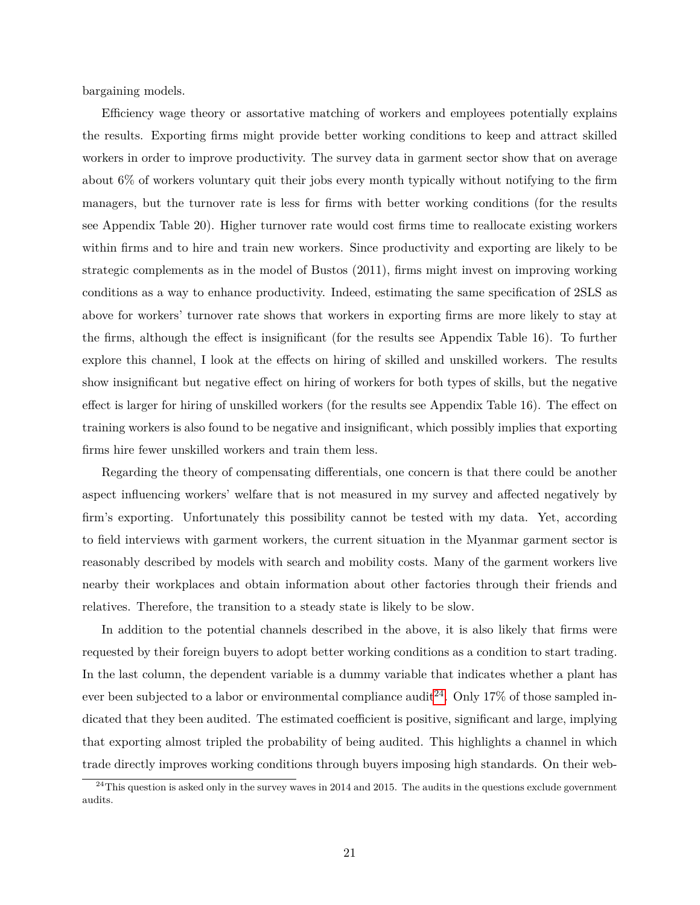bargaining models.

Efficiency wage theory or assortative matching of workers and employees potentially explains the results. Exporting firms might provide better working conditions to keep and attract skilled workers in order to improve productivity. The survey data in garment sector show that on average about 6% of workers voluntary quit their jobs every month typically without notifying to the firm managers, but the turnover rate is less for firms with better working conditions (for the results see Appendix Table 20). Higher turnover rate would cost firms time to reallocate existing workers within firms and to hire and train new workers. Since productivity and exporting are likely to be strategic complements as in the model of Bustos (2011), firms might invest on improving working conditions as a way to enhance productivity. Indeed, estimating the same specification of 2SLS as above for workers' turnover rate shows that workers in exporting firms are more likely to stay at the firms, although the effect is insignificant (for the results see Appendix Table 16). To further explore this channel, I look at the effects on hiring of skilled and unskilled workers. The results show insignificant but negative effect on hiring of workers for both types of skills, but the negative effect is larger for hiring of unskilled workers (for the results see Appendix Table 16). The effect on training workers is also found to be negative and insignificant, which possibly implies that exporting firms hire fewer unskilled workers and train them less.

Regarding the theory of compensating differentials, one concern is that there could be another aspect influencing workers' welfare that is not measured in my survey and affected negatively by firm's exporting. Unfortunately this possibility cannot be tested with my data. Yet, according to field interviews with garment workers, the current situation in the Myanmar garment sector is reasonably described by models with search and mobility costs. Many of the garment workers live nearby their workplaces and obtain information about other factories through their friends and relatives. Therefore, the transition to a steady state is likely to be slow.

In addition to the potential channels described in the above, it is also likely that firms were requested by their foreign buyers to adopt better working conditions as a condition to start trading. In the last column, the dependent variable is a dummy variable that indicates whether a plant has ever been subjected to a labor or environmental compliance audit<sup>[24](#page-20-0)</sup>. Only 17% of those sampled indicated that they been audited. The estimated coefficient is positive, significant and large, implying that exporting almost tripled the probability of being audited. This highlights a channel in which trade directly improves working conditions through buyers imposing high standards. On their web-

<span id="page-20-0"></span> $^{24}$ This question is asked only in the survey waves in 2014 and 2015. The audits in the questions exclude government audits.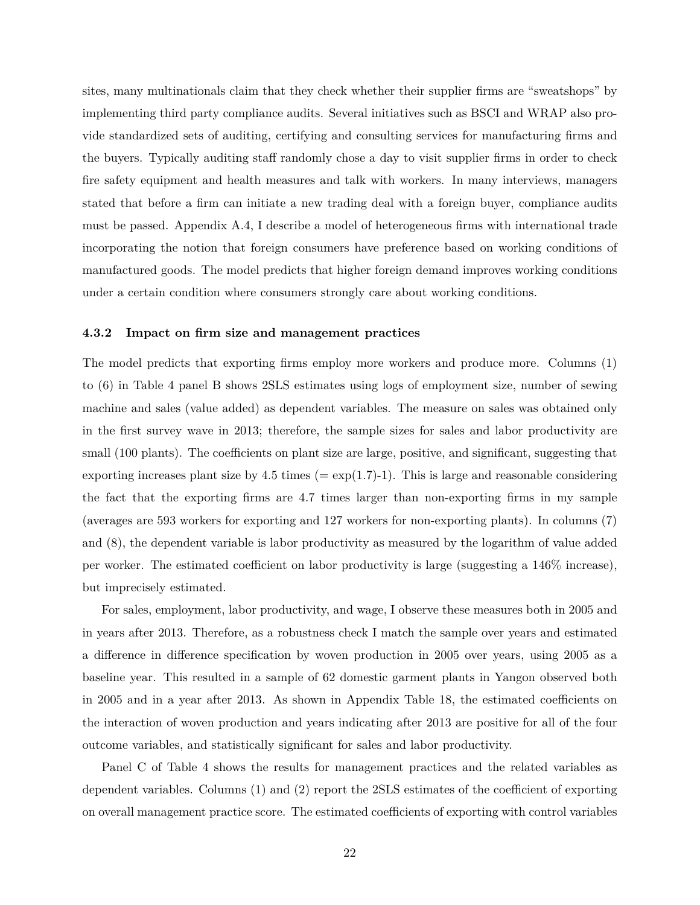sites, many multinationals claim that they check whether their supplier firms are "sweatshops" by implementing third party compliance audits. Several initiatives such as BSCI and WRAP also provide standardized sets of auditing, certifying and consulting services for manufacturing firms and the buyers. Typically auditing staff randomly chose a day to visit supplier firms in order to check fire safety equipment and health measures and talk with workers. In many interviews, managers stated that before a firm can initiate a new trading deal with a foreign buyer, compliance audits must be passed. Appendix A.4, I describe a model of heterogeneous firms with international trade incorporating the notion that foreign consumers have preference based on working conditions of manufactured goods. The model predicts that higher foreign demand improves working conditions under a certain condition where consumers strongly care about working conditions.

#### **4.3.2 Impact on firm size and management practices**

The model predicts that exporting firms employ more workers and produce more. Columns (1) to (6) in Table 4 panel B shows 2SLS estimates using logs of employment size, number of sewing machine and sales (value added) as dependent variables. The measure on sales was obtained only in the first survey wave in 2013; therefore, the sample sizes for sales and labor productivity are small (100 plants). The coefficients on plant size are large, positive, and significant, suggesting that exporting increases plant size by 4.5 times ( $= \exp(1.7)$ -1). This is large and reasonable considering the fact that the exporting firms are 4.7 times larger than non-exporting firms in my sample (averages are 593 workers for exporting and 127 workers for non-exporting plants). In columns (7) and (8), the dependent variable is labor productivity as measured by the logarithm of value added per worker. The estimated coefficient on labor productivity is large (suggesting a 146% increase), but imprecisely estimated.

For sales, employment, labor productivity, and wage, I observe these measures both in 2005 and in years after 2013. Therefore, as a robustness check I match the sample over years and estimated a difference in difference specification by woven production in 2005 over years, using 2005 as a baseline year. This resulted in a sample of 62 domestic garment plants in Yangon observed both in 2005 and in a year after 2013. As shown in Appendix Table 18, the estimated coefficients on the interaction of woven production and years indicating after 2013 are positive for all of the four outcome variables, and statistically significant for sales and labor productivity.

Panel C of Table 4 shows the results for management practices and the related variables as dependent variables. Columns (1) and (2) report the 2SLS estimates of the coefficient of exporting on overall management practice score. The estimated coefficients of exporting with control variables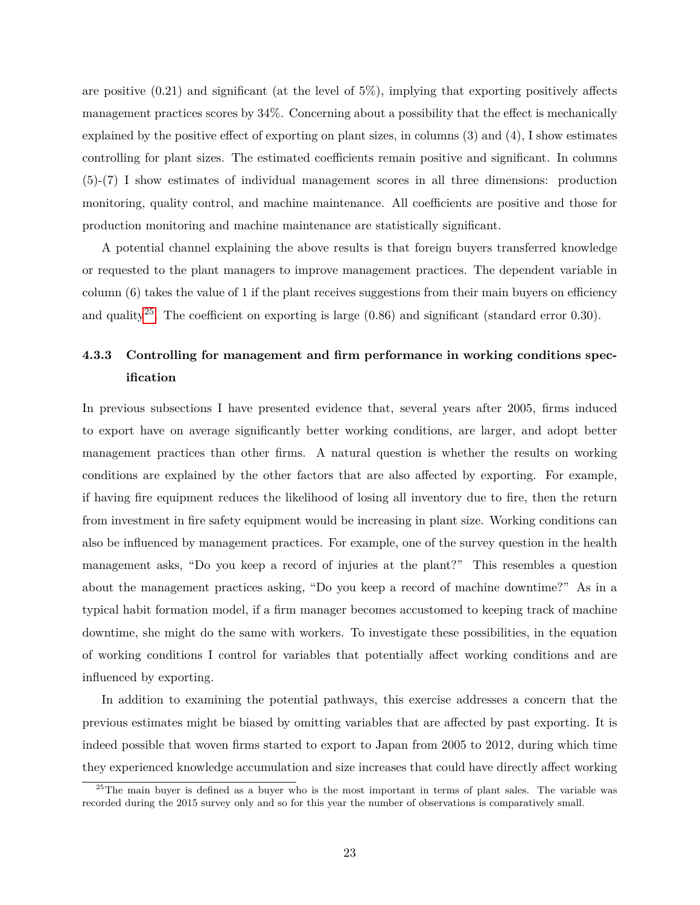are positive (0.21) and significant (at the level of 5%), implying that exporting positively affects management practices scores by 34%. Concerning about a possibility that the effect is mechanically explained by the positive effect of exporting on plant sizes, in columns (3) and (4), I show estimates controlling for plant sizes. The estimated coefficients remain positive and significant. In columns (5)-(7) I show estimates of individual management scores in all three dimensions: production monitoring, quality control, and machine maintenance. All coefficients are positive and those for production monitoring and machine maintenance are statistically significant.

A potential channel explaining the above results is that foreign buyers transferred knowledge or requested to the plant managers to improve management practices. The dependent variable in column  $(6)$  takes the value of 1 if the plant receives suggestions from their main buyers on efficiency and quality<sup>[25](#page-22-0)</sup>. The coefficient on exporting is large  $(0.86)$  and significant (standard error 0.30).

## **4.3.3 Controlling for management and firm performance in working conditions specification**

In previous subsections I have presented evidence that, several years after 2005, firms induced to export have on average significantly better working conditions, are larger, and adopt better management practices than other firms. A natural question is whether the results on working conditions are explained by the other factors that are also affected by exporting. For example, if having fire equipment reduces the likelihood of losing all inventory due to fire, then the return from investment in fire safety equipment would be increasing in plant size. Working conditions can also be influenced by management practices. For example, one of the survey question in the health management asks, "Do you keep a record of injuries at the plant?" This resembles a question about the management practices asking, "Do you keep a record of machine downtime?" As in a typical habit formation model, if a firm manager becomes accustomed to keeping track of machine downtime, she might do the same with workers. To investigate these possibilities, in the equation of working conditions I control for variables that potentially affect working conditions and are influenced by exporting.

In addition to examining the potential pathways, this exercise addresses a concern that the previous estimates might be biased by omitting variables that are affected by past exporting. It is indeed possible that woven firms started to export to Japan from 2005 to 2012, during which time they experienced knowledge accumulation and size increases that could have directly affect working

<span id="page-22-0"></span><sup>&</sup>lt;sup>25</sup>The main buyer is defined as a buyer who is the most important in terms of plant sales. The variable was recorded during the 2015 survey only and so for this year the number of observations is comparatively small.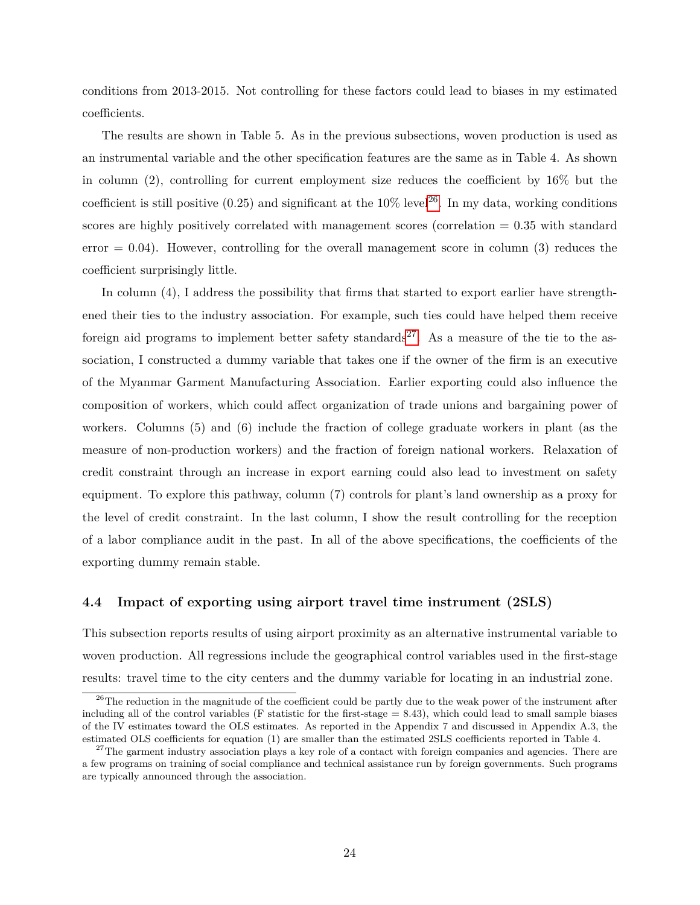conditions from 2013-2015. Not controlling for these factors could lead to biases in my estimated coefficients.

The results are shown in Table 5. As in the previous subsections, woven production is used as an instrumental variable and the other specification features are the same as in Table 4. As shown in column (2), controlling for current employment size reduces the coefficient by 16% but the coefficient is still positive  $(0.25)$  and significant at the  $10\%$  level<sup>[26](#page-23-0)</sup>. In my data, working conditions scores are highly positively correlated with management scores (correlation = 0.35 with standard error  $= 0.04$ ). However, controlling for the overall management score in column (3) reduces the coefficient surprisingly little.

In column (4), I address the possibility that firms that started to export earlier have strengthened their ties to the industry association. For example, such ties could have helped them receive foreign aid programs to implement better safety standards<sup>[27](#page-23-1)</sup>. As a measure of the tie to the association, I constructed a dummy variable that takes one if the owner of the firm is an executive of the Myanmar Garment Manufacturing Association. Earlier exporting could also influence the composition of workers, which could affect organization of trade unions and bargaining power of workers. Columns (5) and (6) include the fraction of college graduate workers in plant (as the measure of non-production workers) and the fraction of foreign national workers. Relaxation of credit constraint through an increase in export earning could also lead to investment on safety equipment. To explore this pathway, column (7) controls for plant's land ownership as a proxy for the level of credit constraint. In the last column, I show the result controlling for the reception of a labor compliance audit in the past. In all of the above specifications, the coefficients of the exporting dummy remain stable.

#### **4.4 Impact of exporting using airport travel time instrument (2SLS)**

This subsection reports results of using airport proximity as an alternative instrumental variable to woven production. All regressions include the geographical control variables used in the first-stage results: travel time to the city centers and the dummy variable for locating in an industrial zone.

<span id="page-23-0"></span><sup>&</sup>lt;sup>26</sup>The reduction in the magnitude of the coefficient could be partly due to the weak power of the instrument after including all of the control variables (F statistic for the first-stage  $= 8.43$ ), which could lead to small sample biases of the IV estimates toward the OLS estimates. As reported in the Appendix 7 and discussed in Appendix A.3, the estimated OLS coefficients for equation (1) are smaller than the estimated 2SLS coefficients reported in Table 4.

<span id="page-23-1"></span> $27$ The garment industry association plays a key role of a contact with foreign companies and agencies. There are a few programs on training of social compliance and technical assistance run by foreign governments. Such programs are typically announced through the association.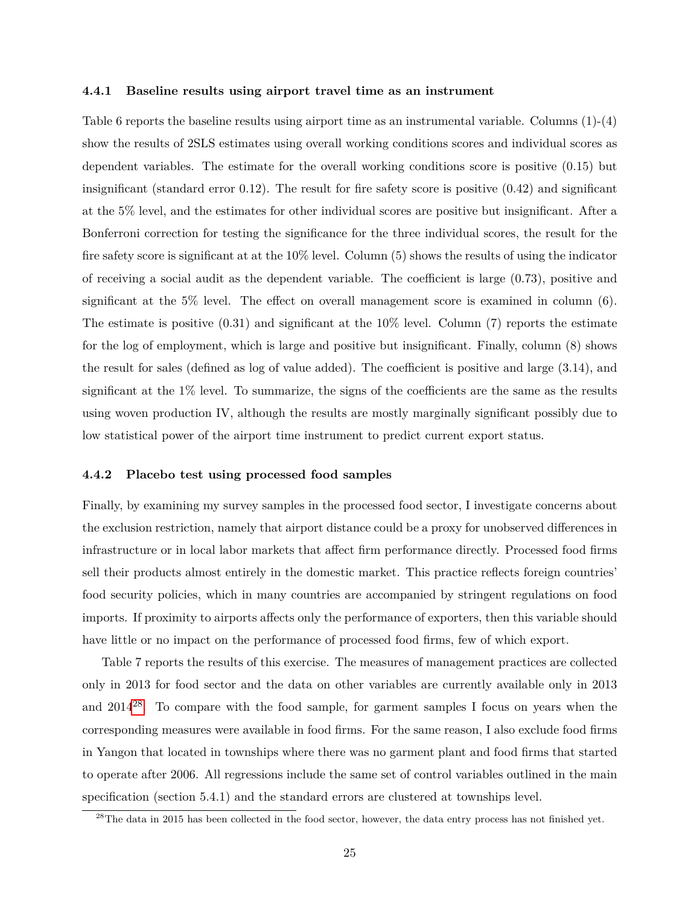#### **4.4.1 Baseline results using airport travel time as an instrument**

Table 6 reports the baseline results using airport time as an instrumental variable. Columns (1)-(4) show the results of 2SLS estimates using overall working conditions scores and individual scores as dependent variables. The estimate for the overall working conditions score is positive (0.15) but insignificant (standard error 0.12). The result for fire safety score is positive (0.42) and significant at the 5% level, and the estimates for other individual scores are positive but insignificant. After a Bonferroni correction for testing the significance for the three individual scores, the result for the fire safety score is significant at at the 10% level. Column (5) shows the results of using the indicator of receiving a social audit as the dependent variable. The coefficient is large (0.73), positive and significant at the 5% level. The effect on overall management score is examined in column (6). The estimate is positive  $(0.31)$  and significant at the 10% level. Column  $(7)$  reports the estimate for the log of employment, which is large and positive but insignificant. Finally, column (8) shows the result for sales (defined as log of value added). The coefficient is positive and large (3.14), and significant at the 1% level. To summarize, the signs of the coefficients are the same as the results using woven production IV, although the results are mostly marginally significant possibly due to low statistical power of the airport time instrument to predict current export status.

#### **4.4.2 Placebo test using processed food samples**

Finally, by examining my survey samples in the processed food sector, I investigate concerns about the exclusion restriction, namely that airport distance could be a proxy for unobserved differences in infrastructure or in local labor markets that affect firm performance directly. Processed food firms sell their products almost entirely in the domestic market. This practice reflects foreign countries' food security policies, which in many countries are accompanied by stringent regulations on food imports. If proximity to airports affects only the performance of exporters, then this variable should have little or no impact on the performance of processed food firms, few of which export.

Table 7 reports the results of this exercise. The measures of management practices are collected only in 2013 for food sector and the data on other variables are currently available only in 2013 and  $2014^{28}$  $2014^{28}$  $2014^{28}$ . To compare with the food sample, for garment samples I focus on years when the corresponding measures were available in food firms. For the same reason, I also exclude food firms in Yangon that located in townships where there was no garment plant and food firms that started to operate after 2006. All regressions include the same set of control variables outlined in the main specification (section 5.4.1) and the standard errors are clustered at townships level.

<span id="page-24-0"></span><sup>&</sup>lt;sup>28</sup>The data in 2015 has been collected in the food sector, however, the data entry process has not finished yet.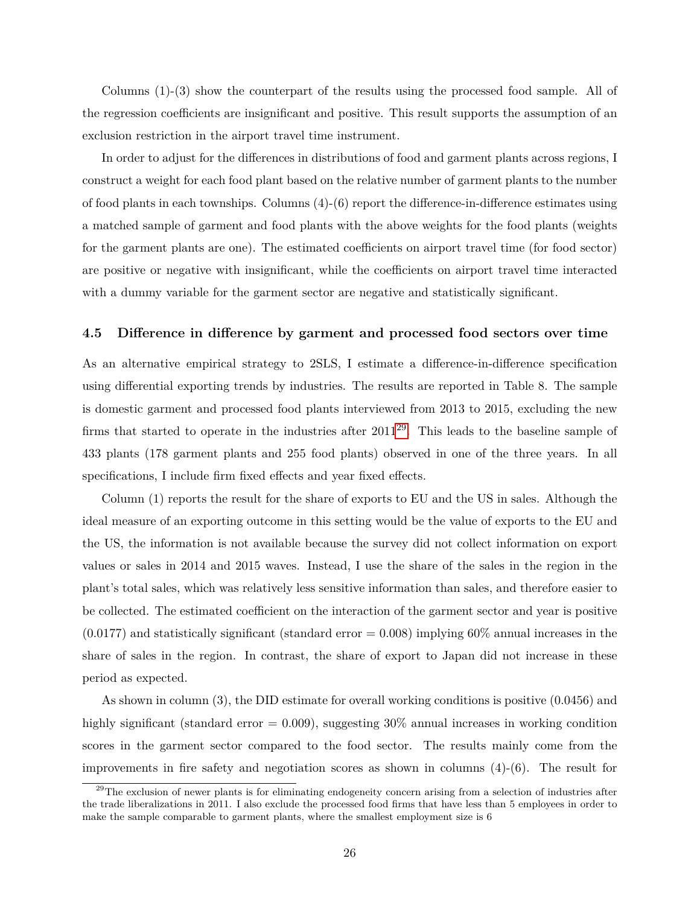Columns (1)-(3) show the counterpart of the results using the processed food sample. All of the regression coefficients are insignificant and positive. This result supports the assumption of an exclusion restriction in the airport travel time instrument.

In order to adjust for the differences in distributions of food and garment plants across regions, I construct a weight for each food plant based on the relative number of garment plants to the number of food plants in each townships. Columns  $(4)-(6)$  report the difference-in-difference estimates using a matched sample of garment and food plants with the above weights for the food plants (weights for the garment plants are one). The estimated coefficients on airport travel time (for food sector) are positive or negative with insignificant, while the coefficients on airport travel time interacted with a dummy variable for the garment sector are negative and statistically significant.

#### **4.5 Difference in difference by garment and processed food sectors over time**

As an alternative empirical strategy to 2SLS, I estimate a difference-in-difference specification using differential exporting trends by industries. The results are reported in Table 8. The sample is domestic garment and processed food plants interviewed from 2013 to 2015, excluding the new firms that started to operate in the industries after  $2011^{29}$  $2011^{29}$  $2011^{29}$ . This leads to the baseline sample of 433 plants (178 garment plants and 255 food plants) observed in one of the three years. In all specifications, I include firm fixed effects and year fixed effects.

Column (1) reports the result for the share of exports to EU and the US in sales. Although the ideal measure of an exporting outcome in this setting would be the value of exports to the EU and the US, the information is not available because the survey did not collect information on export values or sales in 2014 and 2015 waves. Instead, I use the share of the sales in the region in the plant's total sales, which was relatively less sensitive information than sales, and therefore easier to be collected. The estimated coefficient on the interaction of the garment sector and year is positive  $(0.0177)$  and statistically significant (standard error = 0.008) implying 60% annual increases in the share of sales in the region. In contrast, the share of export to Japan did not increase in these period as expected.

As shown in column (3), the DID estimate for overall working conditions is positive (0.0456) and highly significant (standard error  $= 0.009$ ), suggesting 30% annual increases in working condition scores in the garment sector compared to the food sector. The results mainly come from the improvements in fire safety and negotiation scores as shown in columns (4)-(6). The result for

<span id="page-25-0"></span><sup>&</sup>lt;sup>29</sup>The exclusion of newer plants is for eliminating endogeneity concern arising from a selection of industries after the trade liberalizations in 2011. I also exclude the processed food firms that have less than 5 employees in order to make the sample comparable to garment plants, where the smallest employment size is 6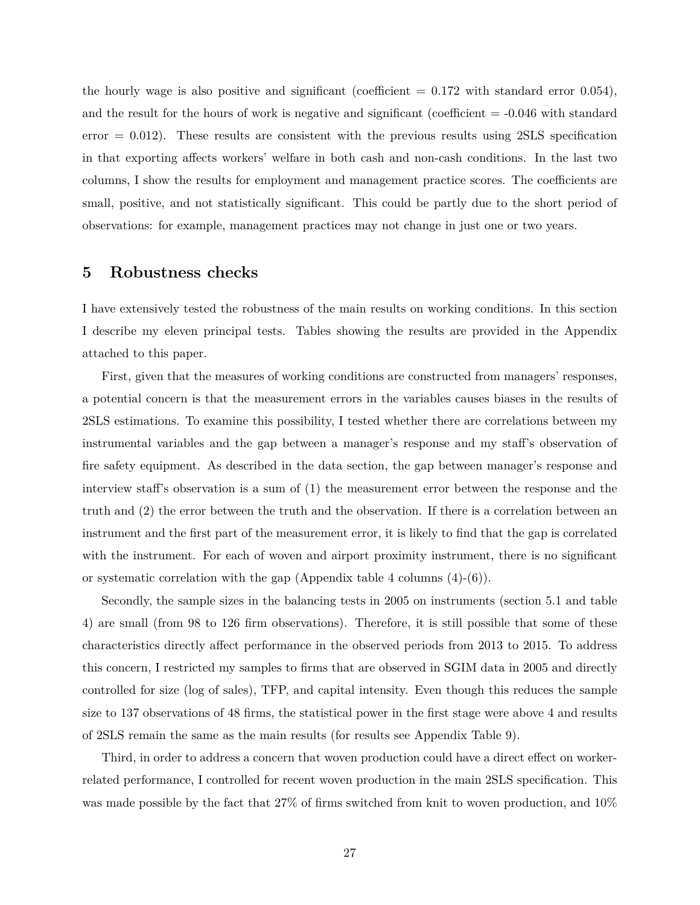the hourly wage is also positive and significant (coefficient  $= 0.172$  with standard error 0.054), and the result for the hours of work is negative and significant (coefficient  $= -0.046$  with standard error  $= 0.012$ ). These results are consistent with the previous results using 2SLS specification in that exporting affects workers' welfare in both cash and non-cash conditions. In the last two columns, I show the results for employment and management practice scores. The coefficients are small, positive, and not statistically significant. This could be partly due to the short period of observations: for example, management practices may not change in just one or two years.

### <span id="page-26-0"></span>**5 Robustness checks**

I have extensively tested the robustness of the main results on working conditions. In this section I describe my eleven principal tests. Tables showing the results are provided in the Appendix attached to this paper.

First, given that the measures of working conditions are constructed from managers' responses, a potential concern is that the measurement errors in the variables causes biases in the results of 2SLS estimations. To examine this possibility, I tested whether there are correlations between my instrumental variables and the gap between a manager's response and my staff's observation of fire safety equipment. As described in the data section, the gap between manager's response and interview staff's observation is a sum of (1) the measurement error between the response and the truth and (2) the error between the truth and the observation. If there is a correlation between an instrument and the first part of the measurement error, it is likely to find that the gap is correlated with the instrument. For each of woven and airport proximity instrument, there is no significant or systematic correlation with the gap (Appendix table 4 columns  $(4)-(6)$ ).

Secondly, the sample sizes in the balancing tests in 2005 on instruments (section 5.1 and table 4) are small (from 98 to 126 firm observations). Therefore, it is still possible that some of these characteristics directly affect performance in the observed periods from 2013 to 2015. To address this concern, I restricted my samples to firms that are observed in SGIM data in 2005 and directly controlled for size (log of sales), TFP, and capital intensity. Even though this reduces the sample size to 137 observations of 48 firms, the statistical power in the first stage were above 4 and results of 2SLS remain the same as the main results (for results see Appendix Table 9).

Third, in order to address a concern that woven production could have a direct effect on workerrelated performance, I controlled for recent woven production in the main 2SLS specification. This was made possible by the fact that 27% of firms switched from knit to woven production, and 10%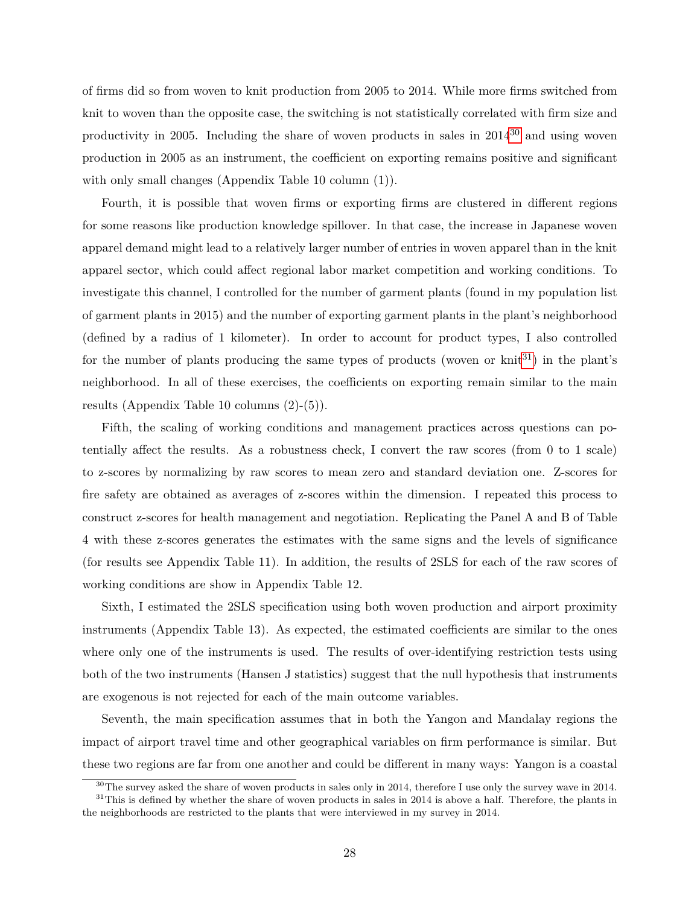of firms did so from woven to knit production from 2005 to 2014. While more firms switched from knit to woven than the opposite case, the switching is not statistically correlated with firm size and productivity in 2005. Including the share of woven products in sales in  $2014^{30}$  $2014^{30}$  $2014^{30}$  and using woven production in 2005 as an instrument, the coefficient on exporting remains positive and significant with only small changes (Appendix Table 10 column (1)).

Fourth, it is possible that woven firms or exporting firms are clustered in different regions for some reasons like production knowledge spillover. In that case, the increase in Japanese woven apparel demand might lead to a relatively larger number of entries in woven apparel than in the knit apparel sector, which could affect regional labor market competition and working conditions. To investigate this channel, I controlled for the number of garment plants (found in my population list of garment plants in 2015) and the number of exporting garment plants in the plant's neighborhood (defined by a radius of 1 kilometer). In order to account for product types, I also controlled for the number of plants producing the same types of products (woven or  $\text{knit}^{31}$  $\text{knit}^{31}$  $\text{knit}^{31}$ ) in the plant's neighborhood. In all of these exercises, the coefficients on exporting remain similar to the main results (Appendix Table 10 columns (2)-(5)).

Fifth, the scaling of working conditions and management practices across questions can potentially affect the results. As a robustness check, I convert the raw scores (from 0 to 1 scale) to z-scores by normalizing by raw scores to mean zero and standard deviation one. Z-scores for fire safety are obtained as averages of z-scores within the dimension. I repeated this process to construct z-scores for health management and negotiation. Replicating the Panel A and B of Table 4 with these z-scores generates the estimates with the same signs and the levels of significance (for results see Appendix Table 11). In addition, the results of 2SLS for each of the raw scores of working conditions are show in Appendix Table 12.

Sixth, I estimated the 2SLS specification using both woven production and airport proximity instruments (Appendix Table 13). As expected, the estimated coefficients are similar to the ones where only one of the instruments is used. The results of over-identifying restriction tests using both of the two instruments (Hansen J statistics) suggest that the null hypothesis that instruments are exogenous is not rejected for each of the main outcome variables.

Seventh, the main specification assumes that in both the Yangon and Mandalay regions the impact of airport travel time and other geographical variables on firm performance is similar. But these two regions are far from one another and could be different in many ways: Yangon is a coastal

<span id="page-27-1"></span><span id="page-27-0"></span> $30$ The survey asked the share of woven products in sales only in 2014, therefore I use only the survey wave in 2014.  $31$ This is defined by whether the share of woven products in sales in 2014 is above a half. Therefore, the plants in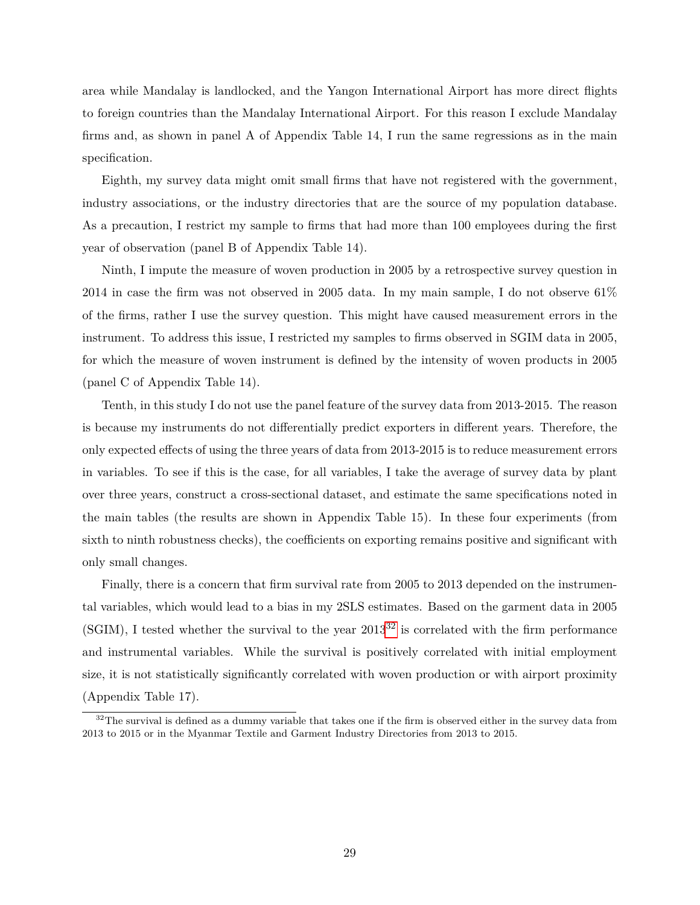area while Mandalay is landlocked, and the Yangon International Airport has more direct flights to foreign countries than the Mandalay International Airport. For this reason I exclude Mandalay firms and, as shown in panel A of Appendix Table 14, I run the same regressions as in the main specification.

Eighth, my survey data might omit small firms that have not registered with the government, industry associations, or the industry directories that are the source of my population database. As a precaution, I restrict my sample to firms that had more than 100 employees during the first year of observation (panel B of Appendix Table 14).

Ninth, I impute the measure of woven production in 2005 by a retrospective survey question in 2014 in case the firm was not observed in 2005 data. In my main sample, I do not observe 61% of the firms, rather I use the survey question. This might have caused measurement errors in the instrument. To address this issue, I restricted my samples to firms observed in SGIM data in 2005, for which the measure of woven instrument is defined by the intensity of woven products in 2005 (panel C of Appendix Table 14).

Tenth, in this study I do not use the panel feature of the survey data from 2013-2015. The reason is because my instruments do not differentially predict exporters in different years. Therefore, the only expected effects of using the three years of data from 2013-2015 is to reduce measurement errors in variables. To see if this is the case, for all variables, I take the average of survey data by plant over three years, construct a cross-sectional dataset, and estimate the same specifications noted in the main tables (the results are shown in Appendix Table 15). In these four experiments (from sixth to ninth robustness checks), the coefficients on exporting remains positive and significant with only small changes.

Finally, there is a concern that firm survival rate from 2005 to 2013 depended on the instrumental variables, which would lead to a bias in my 2SLS estimates. Based on the garment data in 2005 (SGIM), I tested whether the survival to the year  $2013^{32}$  $2013^{32}$  $2013^{32}$  is correlated with the firm performance and instrumental variables. While the survival is positively correlated with initial employment size, it is not statistically significantly correlated with woven production or with airport proximity (Appendix Table 17).

<span id="page-28-0"></span> $32$ The survival is defined as a dummy variable that takes one if the firm is observed either in the survey data from 2013 to 2015 or in the Myanmar Textile and Garment Industry Directories from 2013 to 2015.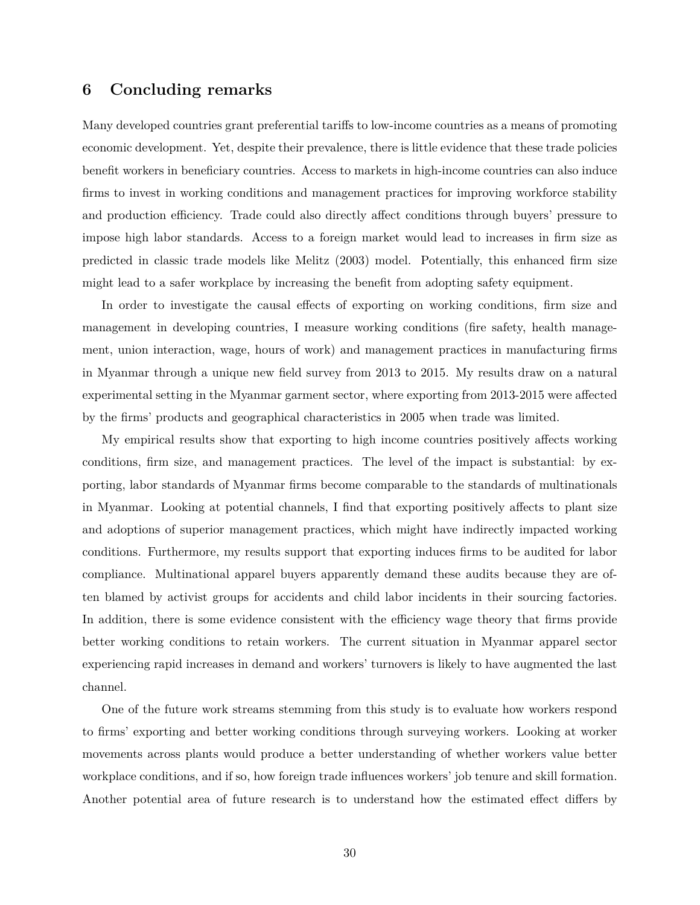## <span id="page-29-0"></span>**6 Concluding remarks**

Many developed countries grant preferential tariffs to low-income countries as a means of promoting economic development. Yet, despite their prevalence, there is little evidence that these trade policies benefit workers in beneficiary countries. Access to markets in high-income countries can also induce firms to invest in working conditions and management practices for improving workforce stability and production efficiency. Trade could also directly affect conditions through buyers' pressure to impose high labor standards. Access to a foreign market would lead to increases in firm size as predicted in classic trade models like Melitz (2003) model. Potentially, this enhanced firm size might lead to a safer workplace by increasing the benefit from adopting safety equipment.

In order to investigate the causal effects of exporting on working conditions, firm size and management in developing countries, I measure working conditions (fire safety, health management, union interaction, wage, hours of work) and management practices in manufacturing firms in Myanmar through a unique new field survey from 2013 to 2015. My results draw on a natural experimental setting in the Myanmar garment sector, where exporting from 2013-2015 were affected by the firms' products and geographical characteristics in 2005 when trade was limited.

My empirical results show that exporting to high income countries positively affects working conditions, firm size, and management practices. The level of the impact is substantial: by exporting, labor standards of Myanmar firms become comparable to the standards of multinationals in Myanmar. Looking at potential channels, I find that exporting positively affects to plant size and adoptions of superior management practices, which might have indirectly impacted working conditions. Furthermore, my results support that exporting induces firms to be audited for labor compliance. Multinational apparel buyers apparently demand these audits because they are often blamed by activist groups for accidents and child labor incidents in their sourcing factories. In addition, there is some evidence consistent with the efficiency wage theory that firms provide better working conditions to retain workers. The current situation in Myanmar apparel sector experiencing rapid increases in demand and workers' turnovers is likely to have augmented the last channel.

One of the future work streams stemming from this study is to evaluate how workers respond to firms' exporting and better working conditions through surveying workers. Looking at worker movements across plants would produce a better understanding of whether workers value better workplace conditions, and if so, how foreign trade influences workers' job tenure and skill formation. Another potential area of future research is to understand how the estimated effect differs by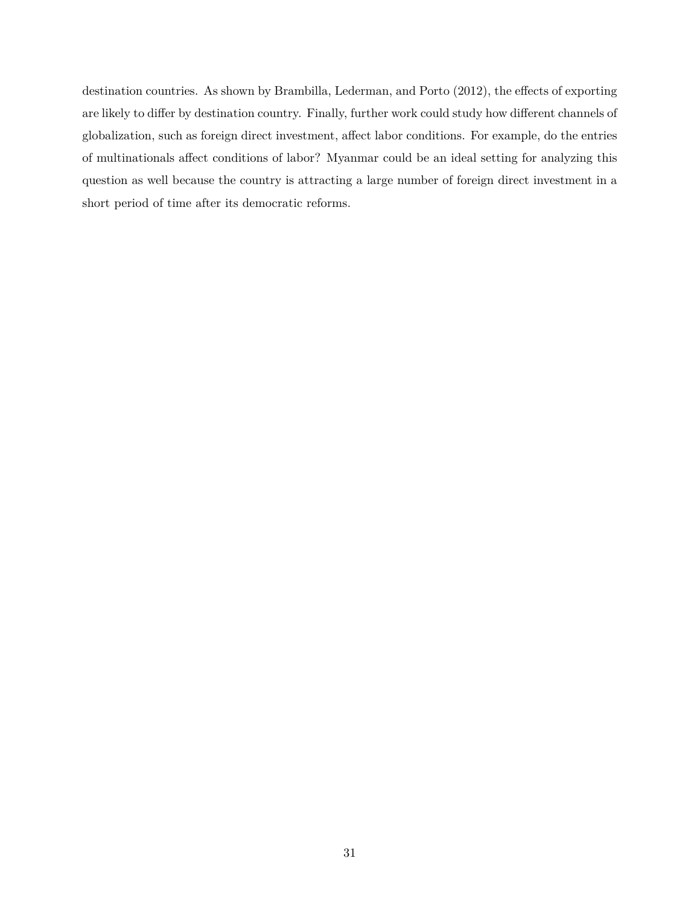destination countries. As shown by Brambilla, Lederman, and Porto (2012), the effects of exporting are likely to differ by destination country. Finally, further work could study how different channels of globalization, such as foreign direct investment, affect labor conditions. For example, do the entries of multinationals affect conditions of labor? Myanmar could be an ideal setting for analyzing this question as well because the country is attracting a large number of foreign direct investment in a short period of time after its democratic reforms.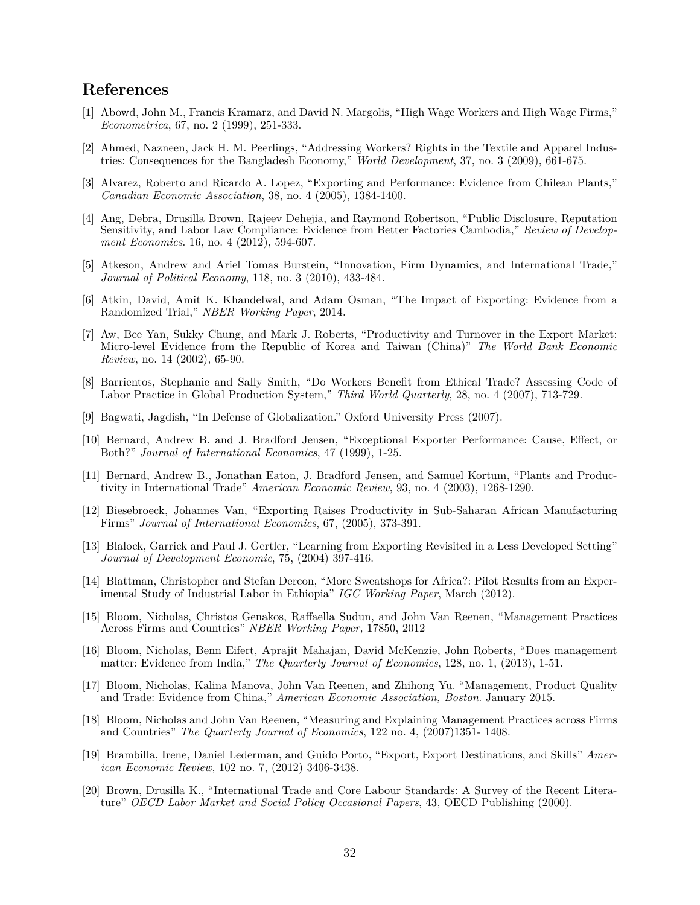## <span id="page-31-0"></span>**References**

- [1] Abowd, John M., Francis Kramarz, and David N. Margolis, "High Wage Workers and High Wage Firms," *Econometrica*, 67, no. 2 (1999), 251-333.
- [2] Ahmed, Nazneen, Jack H. M. Peerlings, "Addressing Workers? Rights in the Textile and Apparel Industries: Consequences for the Bangladesh Economy," *World Development*, 37, no. 3 (2009), 661-675.
- [3] Alvarez, Roberto and Ricardo A. Lopez, "Exporting and Performance: Evidence from Chilean Plants," *Canadian Economic Association*, 38, no. 4 (2005), 1384-1400.
- [4] Ang, Debra, Drusilla Brown, Rajeev Dehejia, and Raymond Robertson, "Public Disclosure, Reputation Sensitivity, and Labor Law Compliance: Evidence from Better Factories Cambodia," *Review of Development Economics*. 16, no. 4 (2012), 594-607.
- [5] Atkeson, Andrew and Ariel Tomas Burstein, "Innovation, Firm Dynamics, and International Trade," *Journal of Political Economy*, 118, no. 3 (2010), 433-484.
- [6] Atkin, David, Amit K. Khandelwal, and Adam Osman, "The Impact of Exporting: Evidence from a Randomized Trial," *NBER Working Paper*, 2014.
- [7] Aw, Bee Yan, Sukky Chung, and Mark J. Roberts, "Productivity and Turnover in the Export Market: Micro-level Evidence from the Republic of Korea and Taiwan (China)" *The World Bank Economic Review*, no. 14 (2002), 65-90.
- [8] Barrientos, Stephanie and Sally Smith, "Do Workers Benefit from Ethical Trade? Assessing Code of Labor Practice in Global Production System," *Third World Quarterly*, 28, no. 4 (2007), 713-729.
- [9] Bagwati, Jagdish, "In Defense of Globalization." Oxford University Press (2007).
- [10] Bernard, Andrew B. and J. Bradford Jensen, "Exceptional Exporter Performance: Cause, Effect, or Both?" *Journal of International Economics*, 47 (1999), 1-25.
- [11] Bernard, Andrew B., Jonathan Eaton, J. Bradford Jensen, and Samuel Kortum, "Plants and Productivity in International Trade" *American Economic Review*, 93, no. 4 (2003), 1268-1290.
- [12] Biesebroeck, Johannes Van, "Exporting Raises Productivity in Sub-Saharan African Manufacturing Firms" *Journal of International Economics*, 67, (2005), 373-391.
- [13] Blalock, Garrick and Paul J. Gertler, "Learning from Exporting Revisited in a Less Developed Setting" *Journal of Development Economic*, 75, (2004) 397-416.
- [14] Blattman, Christopher and Stefan Dercon, "More Sweatshops for Africa?: Pilot Results from an Experimental Study of Industrial Labor in Ethiopia" *IGC Working Paper*, March (2012).
- [15] Bloom, Nicholas, Christos Genakos, Raffaella Sudun, and John Van Reenen, "Management Practices Across Firms and Countries" *NBER Working Paper,* 17850, 2012
- [16] Bloom, Nicholas, Benn Eifert, Aprajit Mahajan, David McKenzie, John Roberts, "Does management matter: Evidence from India," *The Quarterly Journal of Economics*, 128, no. 1, (2013), 1-51.
- [17] Bloom, Nicholas, Kalina Manova, John Van Reenen, and Zhihong Yu. "Management, Product Quality and Trade: Evidence from China," *American Economic Association, Boston*. January 2015.
- [18] Bloom, Nicholas and John Van Reenen, "Measuring and Explaining Management Practices across Firms and Countries" *The Quarterly Journal of Economics*, 122 no. 4, (2007)1351- 1408.
- [19] Brambilla, Irene, Daniel Lederman, and Guido Porto, "Export, Export Destinations, and Skills" *American Economic Review*, 102 no. 7, (2012) 3406-3438.
- [20] Brown, Drusilla K., "International Trade and Core Labour Standards: A Survey of the Recent Literature" *OECD Labor Market and Social Policy Occasional Papers*, 43, OECD Publishing (2000).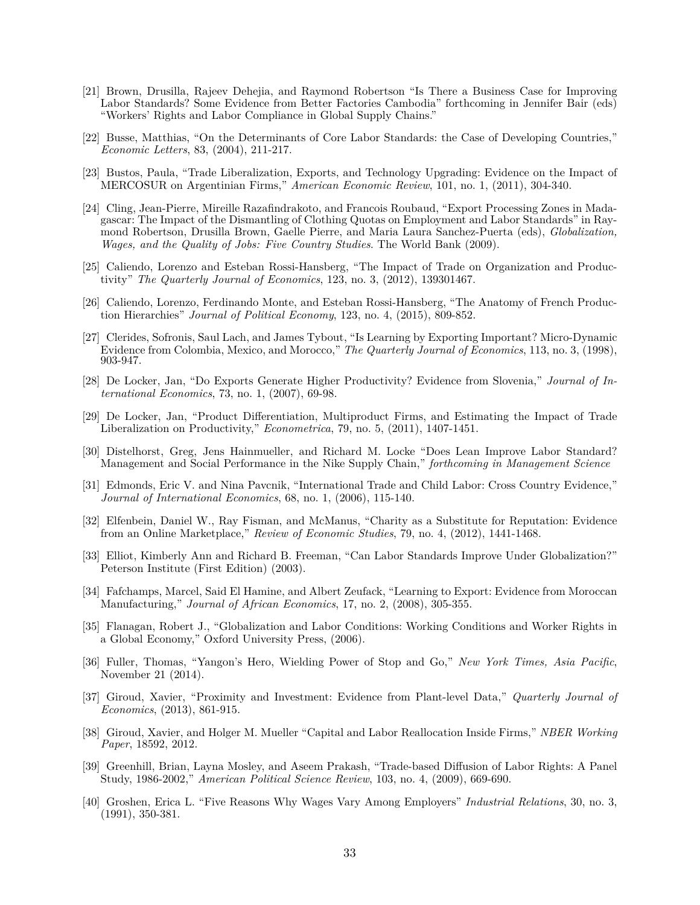- [21] Brown, Drusilla, Rajeev Dehejia, and Raymond Robertson "Is There a Business Case for Improving Labor Standards? Some Evidence from Better Factories Cambodia" forthcoming in Jennifer Bair (eds) "Workers' Rights and Labor Compliance in Global Supply Chains."
- [22] Busse, Matthias, "On the Determinants of Core Labor Standards: the Case of Developing Countries," *Economic Letters*, 83, (2004), 211-217.
- [23] Bustos, Paula, "Trade Liberalization, Exports, and Technology Upgrading: Evidence on the Impact of MERCOSUR on Argentinian Firms," *American Economic Review*, 101, no. 1, (2011), 304-340.
- [24] Cling, Jean-Pierre, Mireille Razafindrakoto, and Francois Roubaud, "Export Processing Zones in Madagascar: The Impact of the Dismantling of Clothing Quotas on Employment and Labor Standards" in Raymond Robertson, Drusilla Brown, Gaelle Pierre, and Maria Laura Sanchez-Puerta (eds), *Globalization, Wages, and the Quality of Jobs: Five Country Studies*. The World Bank (2009).
- [25] Caliendo, Lorenzo and Esteban Rossi-Hansberg, "The Impact of Trade on Organization and Productivity" *The Quarterly Journal of Economics*, 123, no. 3, (2012), 139301467.
- [26] Caliendo, Lorenzo, Ferdinando Monte, and Esteban Rossi-Hansberg, "The Anatomy of French Production Hierarchies" *Journal of Political Economy*, 123, no. 4, (2015), 809-852.
- [27] Clerides, Sofronis, Saul Lach, and James Tybout, "Is Learning by Exporting Important? Micro-Dynamic Evidence from Colombia, Mexico, and Morocco," *The Quarterly Journal of Economics*, 113, no. 3, (1998), 903-947.
- [28] De Locker, Jan, "Do Exports Generate Higher Productivity? Evidence from Slovenia," *Journal of International Economics*, 73, no. 1, (2007), 69-98.
- [29] De Locker, Jan, "Product Differentiation, Multiproduct Firms, and Estimating the Impact of Trade Liberalization on Productivity," *Econometrica*, 79, no. 5, (2011), 1407-1451.
- [30] Distelhorst, Greg, Jens Hainmueller, and Richard M. Locke "Does Lean Improve Labor Standard? Management and Social Performance in the Nike Supply Chain," *forthcoming in Management Science*
- [31] Edmonds, Eric V. and Nina Pavcnik, "International Trade and Child Labor: Cross Country Evidence," *Journal of International Economics*, 68, no. 1, (2006), 115-140.
- [32] Elfenbein, Daniel W., Ray Fisman, and McManus, "Charity as a Substitute for Reputation: Evidence from an Online Marketplace," *Review of Economic Studies*, 79, no. 4, (2012), 1441-1468.
- [33] Elliot, Kimberly Ann and Richard B. Freeman, "Can Labor Standards Improve Under Globalization?" Peterson Institute (First Edition) (2003).
- [34] Fafchamps, Marcel, Said El Hamine, and Albert Zeufack, "Learning to Export: Evidence from Moroccan Manufacturing," *Journal of African Economics*, 17, no. 2, (2008), 305-355.
- [35] Flanagan, Robert J., "Globalization and Labor Conditions: Working Conditions and Worker Rights in a Global Economy," Oxford University Press, (2006).
- [36] Fuller, Thomas, "Yangon's Hero, Wielding Power of Stop and Go," *New York Times, Asia Pacific*, November 21 (2014).
- [37] Giroud, Xavier, "Proximity and Investment: Evidence from Plant-level Data," *Quarterly Journal of Economics*, (2013), 861-915.
- [38] Giroud, Xavier, and Holger M. Mueller "Capital and Labor Reallocation Inside Firms," *NBER Working Paper*, 18592, 2012.
- [39] Greenhill, Brian, Layna Mosley, and Aseem Prakash, "Trade-based Diffusion of Labor Rights: A Panel Study, 1986-2002," *American Political Science Review*, 103, no. 4, (2009), 669-690.
- [40] Groshen, Erica L. "Five Reasons Why Wages Vary Among Employers" *Industrial Relations*, 30, no. 3, (1991), 350-381.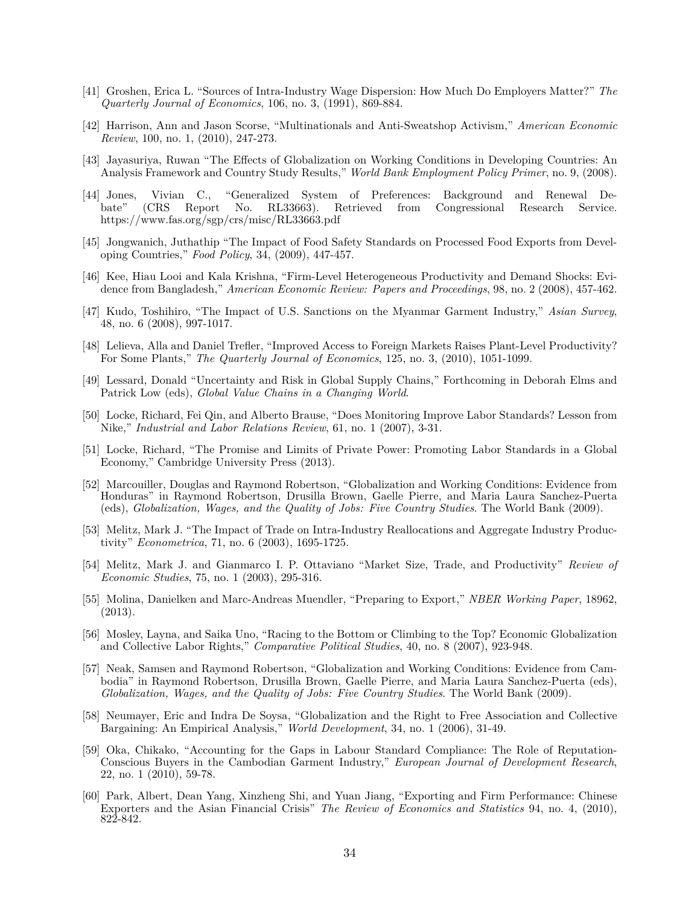- [41] Groshen, Erica L. "Sources of Intra-Industry Wage Dispersion: How Much Do Employers Matter?" *The Quarterly Journal of Economics*, 106, no. 3, (1991), 869-884.
- [42] Harrison, Ann and Jason Scorse, "Multinationals and Anti-Sweatshop Activism," *American Economic Review*, 100, no. 1, (2010), 247-273.
- [43] Jayasuriya, Ruwan "The Effects of Globalization on Working Conditions in Developing Countries: An Analysis Framework and Country Study Results," *World Bank Employment Policy Primer*, no. 9, (2008).
- [44] Jones, Vivian C., "Generalized System of Preferences: Background and Renewal Debate" (CRS Report No. RL33663). Retrieved from Congressional Research Service. https://www.fas.org/sgp/crs/misc/RL33663.pdf
- [45] Jongwanich, Juthathip "The Impact of Food Safety Standards on Processed Food Exports from Developing Countries," *Food Policy*, 34, (2009), 447-457.
- [46] Kee, Hiau Looi and Kala Krishna, "Firm-Level Heterogeneous Productivity and Demand Shocks: Evidence from Bangladesh," *American Economic Review: Papers and Proceedings*, 98, no. 2 (2008), 457-462.
- [47] Kudo, Toshihiro, "The Impact of U.S. Sanctions on the Myanmar Garment Industry," *Asian Survey*, 48, no. 6 (2008), 997-1017.
- [48] Lelieva, Alla and Daniel Trefler, "Improved Access to Foreign Markets Raises Plant-Level Productivity? For Some Plants," *The Quarterly Journal of Economics*, 125, no. 3, (2010), 1051-1099.
- [49] Lessard, Donald "Uncertainty and Risk in Global Supply Chains," Forthcoming in Deborah Elms and Patrick Low (eds), *Global Value Chains in a Changing World*.
- [50] Locke, Richard, Fei Qin, and Alberto Brause, "Does Monitoring Improve Labor Standards? Lesson from Nike," *Industrial and Labor Relations Review*, 61, no. 1 (2007), 3-31.
- [51] Locke, Richard, "The Promise and Limits of Private Power: Promoting Labor Standards in a Global Economy," Cambridge University Press (2013).
- [52] Marcouiller, Douglas and Raymond Robertson, "Globalization and Working Conditions: Evidence from Honduras" in Raymond Robertson, Drusilla Brown, Gaelle Pierre, and Maria Laura Sanchez-Puerta (eds), *Globalization, Wages, and the Quality of Jobs: Five Country Studies*. The World Bank (2009).
- [53] Melitz, Mark J. "The Impact of Trade on Intra-Industry Reallocations and Aggregate Industry Productivity" *Econometrica*, 71, no. 6 (2003), 1695-1725.
- [54] Melitz, Mark J. and Gianmarco I. P. Ottaviano "Market Size, Trade, and Productivity" *Review of Economic Studies*, 75, no. 1 (2003), 295-316.
- [55] Molina, Danielken and Marc-Andreas Muendler, "Preparing to Export," *NBER Working Paper*, 18962, (2013).
- [56] Mosley, Layna, and Saika Uno, "Racing to the Bottom or Climbing to the Top? Economic Globalization and Collective Labor Rights," *Comparative Political Studies*, 40, no. 8 (2007), 923-948.
- [57] Neak, Samsen and Raymond Robertson, "Globalization and Working Conditions: Evidence from Cambodia" in Raymond Robertson, Drusilla Brown, Gaelle Pierre, and Maria Laura Sanchez-Puerta (eds), *Globalization, Wages, and the Quality of Jobs: Five Country Studies*. The World Bank (2009).
- [58] Neumayer, Eric and Indra De Soysa, "Globalization and the Right to Free Association and Collective Bargaining: An Empirical Analysis," *World Development*, 34, no. 1 (2006), 31-49.
- [59] Oka, Chikako, "Accounting for the Gaps in Labour Standard Compliance: The Role of Reputation-Conscious Buyers in the Cambodian Garment Industry," *European Journal of Development Research*, 22, no. 1 (2010), 59-78.
- [60] Park, Albert, Dean Yang, Xinzheng Shi, and Yuan Jiang, "Exporting and Firm Performance: Chinese Exporters and the Asian Financial Crisis" *The Review of Economics and Statistics* 94, no. 4, (2010), 822-842.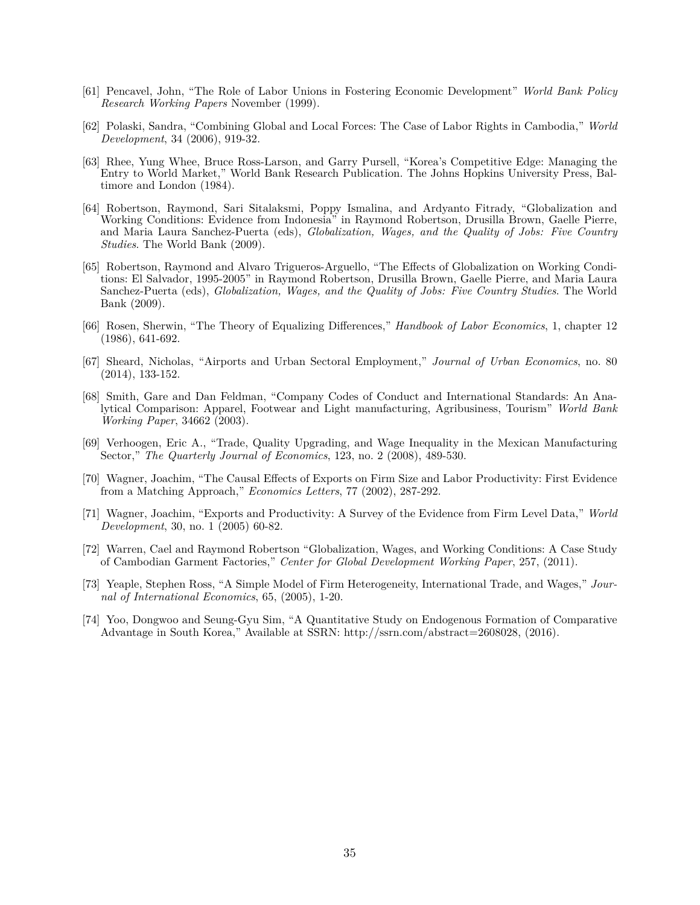- [61] Pencavel, John, "The Role of Labor Unions in Fostering Economic Development" *World Bank Policy Research Working Papers* November (1999).
- [62] Polaski, Sandra, "Combining Global and Local Forces: The Case of Labor Rights in Cambodia," *World Development*, 34 (2006), 919-32.
- [63] Rhee, Yung Whee, Bruce Ross-Larson, and Garry Pursell, "Korea's Competitive Edge: Managing the Entry to World Market," World Bank Research Publication. The Johns Hopkins University Press, Baltimore and London (1984).
- [64] Robertson, Raymond, Sari Sitalaksmi, Poppy Ismalina, and Ardyanto Fitrady, "Globalization and Working Conditions: Evidence from Indonesia" in Raymond Robertson, Drusilla Brown, Gaelle Pierre, and Maria Laura Sanchez-Puerta (eds), *Globalization, Wages, and the Quality of Jobs: Five Country Studies*. The World Bank (2009).
- [65] Robertson, Raymond and Alvaro Trigueros-Arguello, "The Effects of Globalization on Working Conditions: El Salvador, 1995-2005" in Raymond Robertson, Drusilla Brown, Gaelle Pierre, and Maria Laura Sanchez-Puerta (eds), *Globalization, Wages, and the Quality of Jobs: Five Country Studies*. The World Bank (2009).
- [66] Rosen, Sherwin, "The Theory of Equalizing Differences," *Handbook of Labor Economics*, 1, chapter 12 (1986), 641-692.
- [67] Sheard, Nicholas, "Airports and Urban Sectoral Employment," *Journal of Urban Economics*, no. 80 (2014), 133-152.
- [68] Smith, Gare and Dan Feldman, "Company Codes of Conduct and International Standards: An Analytical Comparison: Apparel, Footwear and Light manufacturing, Agribusiness, Tourism" *World Bank Working Paper*, 34662 (2003).
- [69] Verhoogen, Eric A., "Trade, Quality Upgrading, and Wage Inequality in the Mexican Manufacturing Sector," *The Quarterly Journal of Economics*, 123, no. 2 (2008), 489-530.
- [70] Wagner, Joachim, "The Causal Effects of Exports on Firm Size and Labor Productivity: First Evidence from a Matching Approach," *Economics Letters*, 77 (2002), 287-292.
- [71] Wagner, Joachim, "Exports and Productivity: A Survey of the Evidence from Firm Level Data," *World Development*, 30, no. 1 (2005) 60-82.
- [72] Warren, Cael and Raymond Robertson "Globalization, Wages, and Working Conditions: A Case Study of Cambodian Garment Factories," *Center for Global Development Working Paper*, 257, (2011).
- [73] Yeaple, Stephen Ross, "A Simple Model of Firm Heterogeneity, International Trade, and Wages," *Journal of International Economics*, 65, (2005), 1-20.
- [74] Yoo, Dongwoo and Seung-Gyu Sim, "A Quantitative Study on Endogenous Formation of Comparative Advantage in South Korea," Available at SSRN: http://ssrn.com/abstract=2608028, (2016).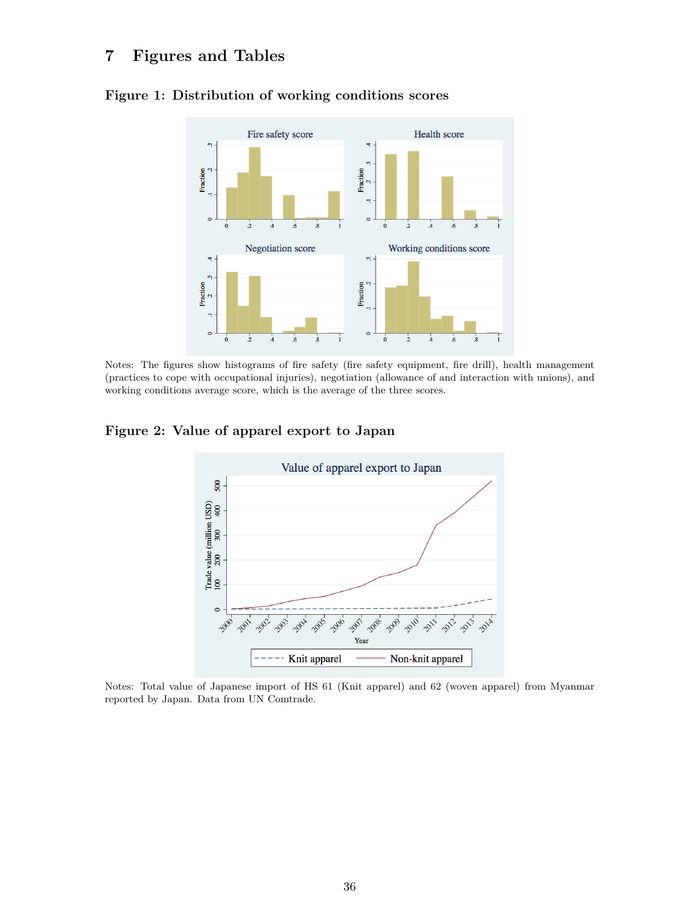## **7 Figures and Tables**



#### **Figure 1: Distribution of working conditions scores**

Notes: The figures show histograms of fire safety (fire safety equipment, fire drill), health management (practices to cope with occupational injuries), negotiation (allowance of and interaction with unions), and working conditions average score, which is the average of the three scores.

**Figure 2: Value of apparel export to Japan**



Notes: Total value of Japanese import of HS 61 (Knit apparel) and 62 (woven apparel) from Myanmar reported by Japan. Data from UN Comtrade.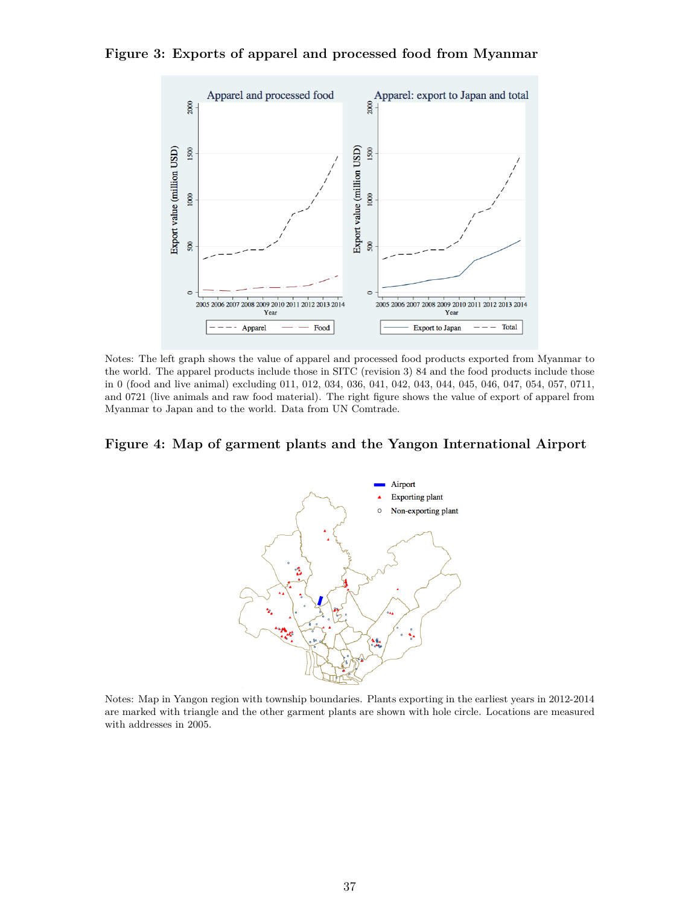

**Figure 3: Exports of apparel and processed food from Myanmar**

Notes: The left graph shows the value of apparel and processed food products exported from Myanmar to the world. The apparel products include those in SITC (revision 3) 84 and the food products include those in 0 (food and live animal) excluding 011, 012, 034, 036, 041, 042, 043, 044, 045, 046, 047, 054, 057, 0711, and 0721 (live animals and raw food material). The right figure shows the value of export of apparel from Myanmar to Japan and to the world. Data from UN Comtrade.

#### **Figure 4: Map of garment plants and the Yangon International Airport**



Notes: Map in Yangon region with township boundaries. Plants exporting in the earliest years in 2012-2014 are marked with triangle and the other garment plants are shown with hole circle. Locations are measured with addresses in 2005.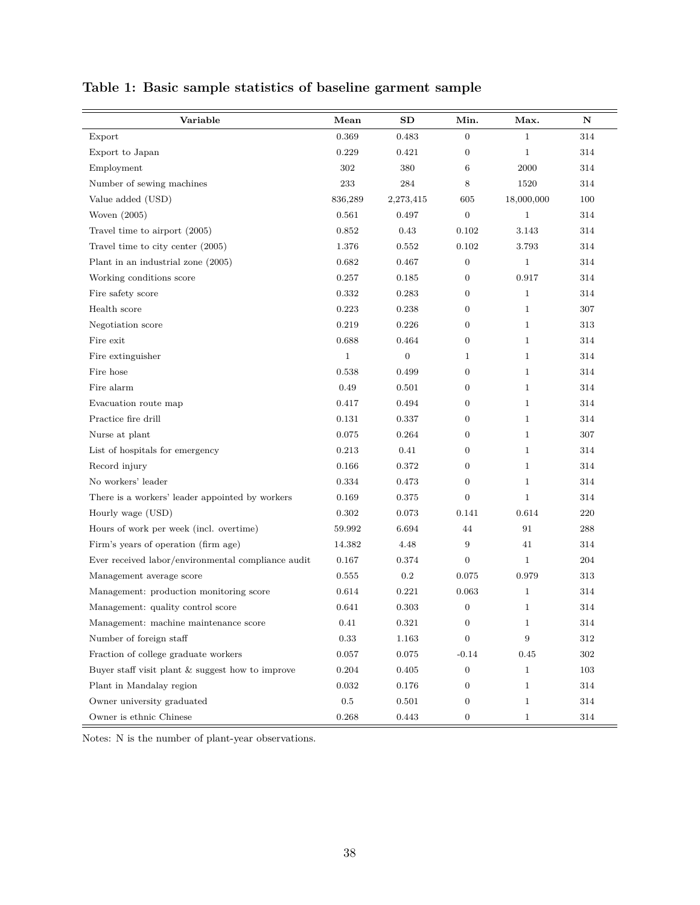| Variable                                           | Mean         | SD               | Min.             | Max.         | N       |
|----------------------------------------------------|--------------|------------------|------------------|--------------|---------|
| Export                                             | 0.369        | 0.483            | $\boldsymbol{0}$ | $\mathbf{1}$ | 314     |
| Export to Japan                                    | 0.229        | 0.421            | $\overline{0}$   | $\mathbf{1}$ | 314     |
| Employment                                         | 302          | 380              | 6                | 2000         | 314     |
| Number of sewing machines                          | 233          | 284              | 8                | 1520         | 314     |
| Value added (USD)                                  | 836,289      | 2,273,415        | 605              | 18,000,000   | 100     |
| Woven $(2005)$                                     | 0.561        | 0.497            | $\boldsymbol{0}$ | $\mathbf{1}$ | 314     |
| Travel time to airport (2005)                      | 0.852        | 0.43             | 0.102            | 3.143        | 314     |
| Travel time to city center (2005)                  | 1.376        | 0.552            | 0.102            | 3.793        | 314     |
| Plant in an industrial zone (2005)                 | 0.682        | 0.467            | $\overline{0}$   | $\mathbf{1}$ | 314     |
| Working conditions score                           | 0.257        | 0.185            | $\mathbf{0}$     | 0.917        | 314     |
| Fire safety score                                  | 0.332        | 0.283            | $\overline{0}$   | $\mathbf{1}$ | 314     |
| Health score                                       | 0.223        | 0.238            | $\overline{0}$   | $\mathbf{1}$ | 307     |
| Negotiation score                                  | 0.219        | 0.226            | $\boldsymbol{0}$ | $\mathbf{1}$ | 313     |
| Fire exit                                          | 0.688        | 0.464            | $\boldsymbol{0}$ | $\mathbf{1}$ | 314     |
| Fire extinguisher                                  | $\mathbf{1}$ | $\boldsymbol{0}$ | 1                | $\mathbf{1}$ | 314     |
| Fire hose                                          | 0.538        | 0.499            | $\boldsymbol{0}$ | $\mathbf{1}$ | 314     |
| Fire alarm                                         | 0.49         | 0.501            | $\boldsymbol{0}$ | $\mathbf{1}$ | 314     |
| Evacuation route map                               | 0.417        | 0.494            | $\overline{0}$   | $\mathbf{1}$ | 314     |
| Practice fire drill                                | 0.131        | 0.337            | $\boldsymbol{0}$ | $\mathbf{1}$ | 314     |
| Nurse at plant                                     | 0.075        | 0.264            | $\boldsymbol{0}$ | $\mathbf{1}$ | 307     |
| List of hospitals for emergency                    | 0.213        | 0.41             | $\overline{0}$   | $\mathbf{1}$ | 314     |
| Record injury                                      | 0.166        | 0.372            | $\overline{0}$   | $\mathbf{1}$ | 314     |
| No workers' leader                                 | 0.334        | 0.473            | $\theta$         | $\mathbf{1}$ | 314     |
| There is a workers' leader appointed by workers    | 0.169        | 0.375            | $\boldsymbol{0}$ | $\mathbf{1}$ | 314     |
| Hourly wage (USD)                                  | 0.302        | 0.073            | 0.141            | 0.614        | 220     |
| Hours of work per week (incl. overtime)            | 59.992       | 6.694            | 44               | 91           | 288     |
| Firm's years of operation (firm age)               | 14.382       | 4.48             | $\boldsymbol{9}$ | 41           | 314     |
| Ever received labor/environmental compliance audit | 0.167        | 0.374            | $\boldsymbol{0}$ | $\mathbf 1$  | 204     |
| Management average score                           | 0.555        | $\rm 0.2$        | 0.075            | 0.979        | 313     |
| Management: production monitoring score            | 0.614        | 0.221            | 0.063            | $\mathbf{1}$ | 314     |
| Management: quality control score                  | 0.641        | 0.303            | $\boldsymbol{0}$ | $\mathbf{1}$ | 314     |
| Management: machine maintenance score              | 0.41         | 0.321            | $\boldsymbol{0}$ | $\mathbf 1$  | 314     |
| Number of foreign staff                            | 0.33         | 1.163            | $\overline{0}$   | 9            | $312\,$ |
| Fraction of college graduate workers               | 0.057        | 0.075            | $-0.14$          | 0.45         | $302\,$ |
| Buyer staff visit plant & suggest how to improve   | 0.204        | 0.405            | $\mathbf{0}$     | 1            | 103     |
| Plant in Mandalay region                           | 0.032        | 0.176            | $\overline{0}$   | $\mathbf{1}$ | 314     |
| Owner university graduated                         | $0.5\,$      | 0.501            | $\overline{0}$   | $\mathbf{1}$ | 314     |
| Owner is ethnic Chinese                            | 0.268        | 0.443            | $\boldsymbol{0}$ | $\mathbf{1}$ | 314     |

# **Table 1: Basic sample statistics of baseline garment sample**

Notes: N is the number of plant-year observations.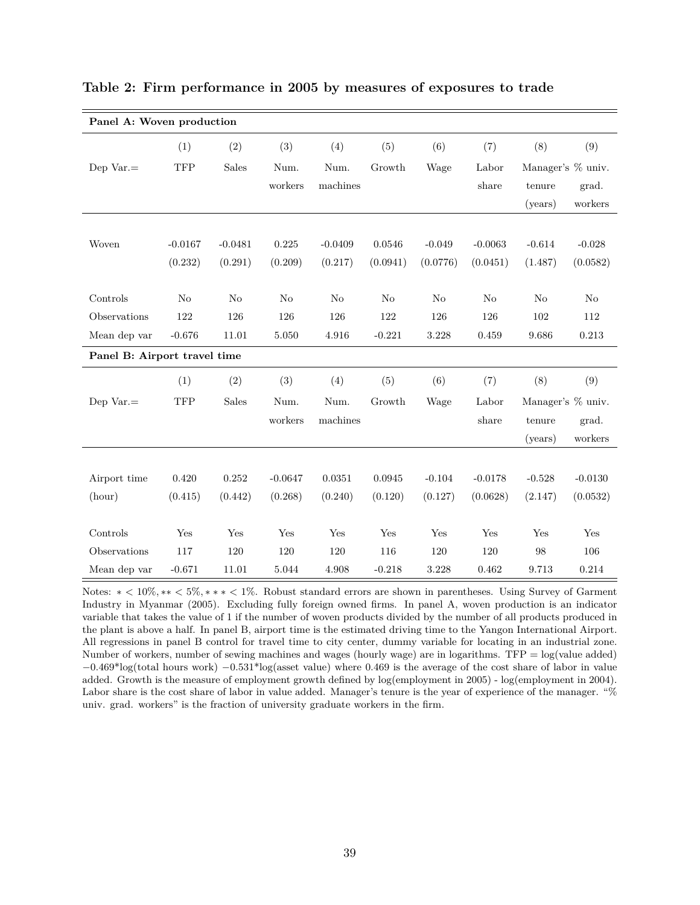| Panel A: Woven production    |            |                |           |           |          |          |                |                |                   |
|------------------------------|------------|----------------|-----------|-----------|----------|----------|----------------|----------------|-------------------|
|                              | (1)        | (2)            | (3)       | (4)       | (5)      | (6)      | (7)            | (8)            | (9)               |
| Dep $Var =$                  | TFP        | <b>Sales</b>   | Num.      | Num.      | Growth   | Wage     | Labor          |                | Manager's % univ. |
|                              |            |                | workers   | machines  |          |          | $_{\rm share}$ | tenure         | grad.             |
|                              |            |                |           |           |          |          |                | (years)        | workers           |
|                              |            |                |           |           |          |          |                |                |                   |
| Woven                        | $-0.0167$  | $-0.0481$      | 0.225     | $-0.0409$ | 0.0546   | $-0.049$ | $-0.0063$      | $-0.614$       | $-0.028$          |
|                              | (0.232)    | (0.291)        | (0.209)   | (0.217)   | (0.0941) | (0.0776) | (0.0451)       | (1.487)        | (0.0582)          |
|                              |            |                |           |           |          |          |                |                |                   |
| Controls                     | No         | N <sub>o</sub> | No        | No        | No       | No       | No             | N <sub>o</sub> | No                |
| Observations                 | 122        | 126            | 126       | 126       | 122      | 126      | 126            | 102            | 112               |
| Mean dep var                 | $-0.676$   | 11.01          | $5.050\,$ | 4.916     | $-0.221$ | 3.228    | 0.459          | 9.686          | $\rm 0.213$       |
| Panel B: Airport travel time |            |                |           |           |          |          |                |                |                   |
|                              | (1)        | (2)            | (3)       | (4)       | (5)      | (6)      | (7)            | (8)            | (9)               |
| Dep $Var =$                  | <b>TFP</b> | Sales          | Num.      | Num.      | Growth   | Wage     | Labor          |                | Manager's % univ. |
|                              |            |                | workers   | machines  |          |          | share          | tenure         | grad.             |
|                              |            |                |           |           |          |          |                | (years)        | workers           |
|                              |            |                |           |           |          |          |                |                |                   |
| Airport time                 | 0.420      | 0.252          | $-0.0647$ | 0.0351    | 0.0945   | $-0.104$ | $-0.0178$      | $-0.528$       | $-0.0130$         |
| (hour)                       | (0.415)    | (0.442)        | (0.268)   | (0.240)   | (0.120)  | (0.127)  | (0.0628)       | (2.147)        | (0.0532)          |
|                              |            |                |           |           |          |          |                |                |                   |
| Controls                     | Yes        | Yes            | Yes       | Yes       | Yes      | Yes      | Yes            | Yes            | Yes               |
| Observations                 | 117        | 120            | 120       | 120       | 116      | 120      | 120            | 98             | 106               |
| Mean dep var                 | $-0.671$   | 11.01          | 5.044     | 4.908     | $-0.218$ | 3.228    | 0.462          | 9.713          | 0.214             |

**Table 2: Firm performance in 2005 by measures of exposures to trade**

Notes: ∗ *<* 10%*,* ∗∗ *<* 5%*,* ∗ ∗ ∗ *<* 1%. Robust standard errors are shown in parentheses. Using Survey of Garment Industry in Myanmar (2005). Excluding fully foreign owned firms. In panel A, woven production is an indicator variable that takes the value of 1 if the number of woven products divided by the number of all products produced in the plant is above a half. In panel B, airport time is the estimated driving time to the Yangon International Airport. All regressions in panel B control for travel time to city center, dummy variable for locating in an industrial zone. Number of workers, number of sewing machines and wages (hourly wage) are in logarithms. TFP = log(value added) −0*.*469\*log(total hours work) −0*.*531\*log(asset value) where 0.469 is the average of the cost share of labor in value added. Growth is the measure of employment growth defined by log(employment in 2005) - log(employment in 2004). Labor share is the cost share of labor in value added. Manager's tenure is the year of experience of the manager. "% univ. grad. workers" is the fraction of university graduate workers in the firm.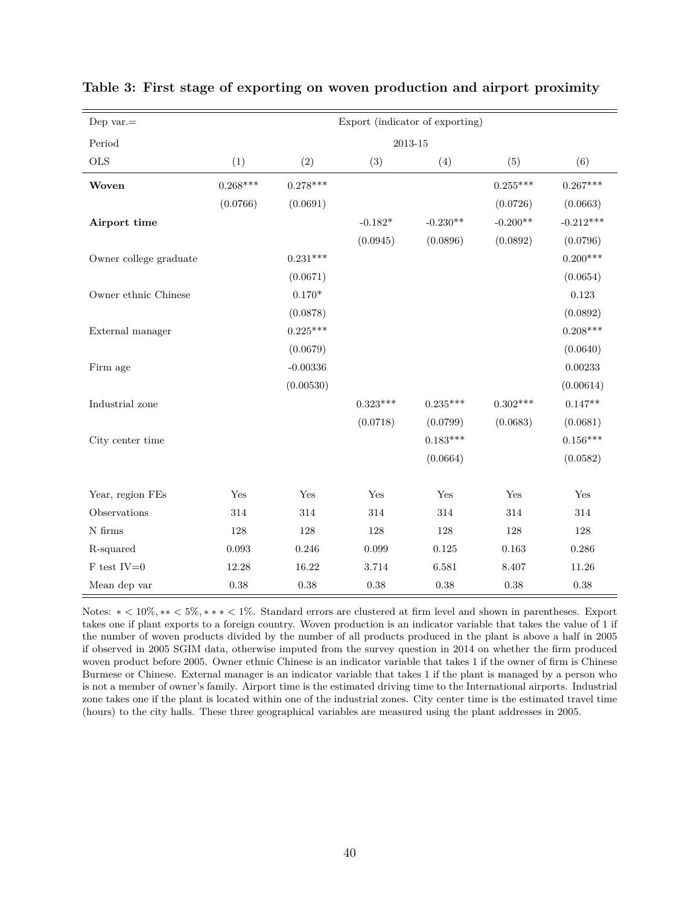| Dep var. $=$              | Export (indicator of exporting) |            |            |                    |             |             |  |  |  |  |
|---------------------------|---------------------------------|------------|------------|--------------------|-------------|-------------|--|--|--|--|
| Period                    |                                 |            |            | $\,2013\mbox{-}15$ |             |             |  |  |  |  |
| $_{\rm OLS}$              | (1)                             | (2)        | (3)        | (4)                | (5)         | (6)         |  |  |  |  |
| Woven                     | $0.268***$                      | $0.278***$ |            |                    | $0.255***$  | $0.267***$  |  |  |  |  |
|                           | (0.0766)                        | (0.0691)   |            |                    | (0.0726)    | (0.0663)    |  |  |  |  |
| Airport time              |                                 |            | $-0.182*$  | $-0.230**$         | $-0.200**$  | $-0.212***$ |  |  |  |  |
|                           |                                 |            | (0.0945)   | (0.0896)           | (0.0892)    | (0.0796)    |  |  |  |  |
| Owner college graduate    |                                 | $0.231***$ |            |                    |             | $0.200***$  |  |  |  |  |
|                           |                                 | (0.0671)   |            |                    |             | (0.0654)    |  |  |  |  |
| Owner ethnic Chinese      |                                 | $0.170*$   |            |                    |             | $0.123\,$   |  |  |  |  |
|                           |                                 | (0.0878)   |            |                    |             | (0.0892)    |  |  |  |  |
| External manager          |                                 | $0.225***$ |            |                    |             | $0.208***$  |  |  |  |  |
|                           |                                 | (0.0679)   |            |                    |             | (0.0640)    |  |  |  |  |
| Firm age                  |                                 | $-0.00336$ |            |                    |             | 0.00233     |  |  |  |  |
|                           |                                 | (0.00530)  |            |                    |             | (0.00614)   |  |  |  |  |
| Industrial zone           |                                 |            | $0.323***$ | $0.235***$         | $0.302***$  | $0.147**$   |  |  |  |  |
|                           |                                 |            | (0.0718)   | (0.0799)           | (0.0683)    | (0.0681)    |  |  |  |  |
| City center time          |                                 |            |            | $0.183***$         |             | $0.156***$  |  |  |  |  |
|                           |                                 |            |            | (0.0664)           |             | (0.0582)    |  |  |  |  |
|                           |                                 |            |            |                    |             |             |  |  |  |  |
| Year, region FEs          | Yes                             | Yes        | Yes        | Yes                | Yes         | Yes         |  |  |  |  |
| Observations              | 314                             | 314        | 314        | 314                | 314         | 314         |  |  |  |  |
| ${\cal N}$ firms          | 128                             | $128\,$    | $128\,$    | $128\,$            | $128\,$     | $128\,$     |  |  |  |  |
| R-squared                 | $\,0.093\,$                     | 0.246      | 0.099      | $0.125\,$          | $\,0.163\,$ | 0.286       |  |  |  |  |
| $\rm F$ test $\rm IV{=}0$ | 12.28                           | 16.22      | $3.714\,$  | 6.581              | 8.407       | 11.26       |  |  |  |  |
| Mean dep var              | 0.38                            | 0.38       | $0.38\,$   | 0.38               | $0.38\,$    | 0.38        |  |  |  |  |

### **Table 3: First stage of exporting on woven production and airport proximity**

Notes: ∗ *<* 10%*,* ∗∗ *<* 5%*,* ∗ ∗ ∗ *<* 1%. Standard errors are clustered at firm level and shown in parentheses. Export takes one if plant exports to a foreign country. Woven production is an indicator variable that takes the value of 1 if the number of woven products divided by the number of all products produced in the plant is above a half in 2005 if observed in 2005 SGIM data, otherwise imputed from the survey question in 2014 on whether the firm produced woven product before 2005. Owner ethnic Chinese is an indicator variable that takes 1 if the owner of firm is Chinese Burmese or Chinese. External manager is an indicator variable that takes 1 if the plant is managed by a person who is not a member of owner's family. Airport time is the estimated driving time to the International airports. Industrial zone takes one if the plant is located within one of the industrial zones. City center time is the estimated travel time (hours) to the city halls. These three geographical variables are measured using the plant addresses in 2005.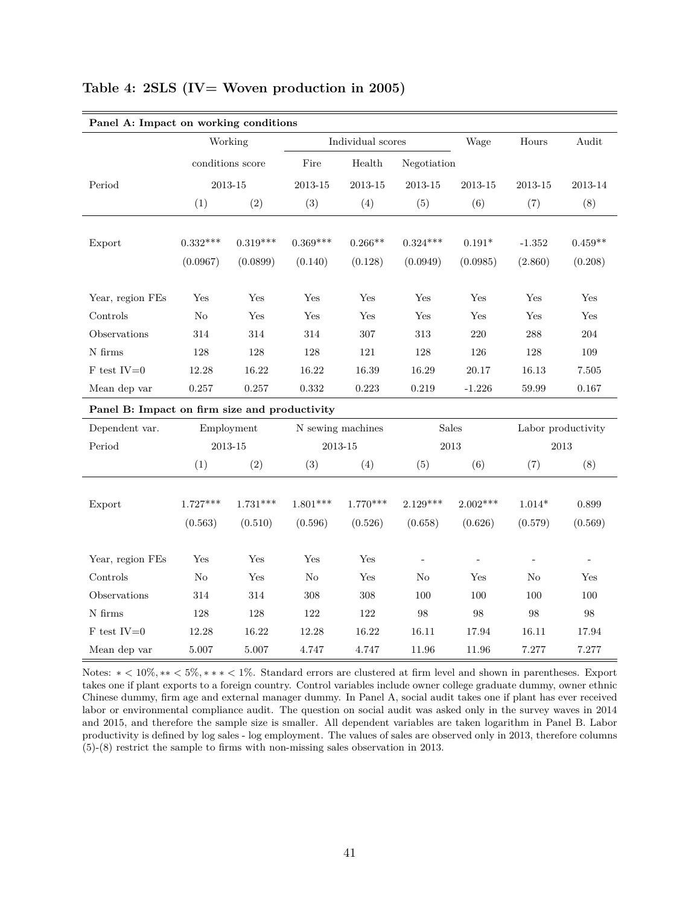| Panel A: Impact on working conditions         |             |                  |             |                   |             |                     |                          |                          |
|-----------------------------------------------|-------------|------------------|-------------|-------------------|-------------|---------------------|--------------------------|--------------------------|
|                                               |             | Working          |             | Individual scores |             | Wage                | Hours                    | Audit                    |
|                                               |             | conditions score | Fire        | Health            | Negotiation |                     |                          |                          |
| Period                                        | $2013 - 15$ |                  | $2013 - 15$ | 2013-15           | 2013-15     | 2013-15             | $2013 - 15$              | 2013-14                  |
|                                               | (1)         | (2)              | (3)         | (4)               | (5)         | (6)                 | (7)                      | (8)                      |
|                                               |             |                  |             |                   |             |                     |                          |                          |
| Export                                        | $0.332***$  | $0.319***$       | $0.369***$  | $0.266**$         | $0.324***$  | $0.191*$            | $-1.352$                 | $0.459**$                |
|                                               | (0.0967)    | (0.0899)         | (0.140)     | (0.128)           | (0.0949)    | (0.0985)            | (2.860)                  | (0.208)                  |
| Year, region FEs                              | Yes         | Yes              | Yes         | Yes               | Yes         | Yes                 | Yes                      | Yes                      |
| Controls                                      | No          | Yes              | Yes         | Yes               | Yes         | Yes                 | Yes                      | Yes                      |
| Observations                                  | 314         | 314              | 314         | 307               | 313         | $220\,$             | 288                      | 204                      |
| $\rm N$ firms                                 | 128         | 128              | 128         | 121               | 128         | 126                 | 128                      | 109                      |
| $F$ test IV=0                                 | 12.28       | 16.22            | 16.22       | 16.39             | 16.29       | 20.17               | 16.13                    | 7.505                    |
| Mean dep var                                  | $0.257\,$   | 0.257            | $\rm 0.332$ | 0.223             | 0.219       | $-1.226$            | 59.99                    | 0.167                    |
| Panel B: Impact on firm size and productivity |             |                  |             |                   |             |                     |                          |                          |
| Dependent var.                                |             | Employment       |             | N sewing machines |             | Sales               |                          | Labor productivity       |
| Period                                        |             | 2013-15          |             | 2013-15           |             | $\,2013$            | 2013                     |                          |
|                                               | (1)         | (2)              | (3)         | (4)               | (5)         | (6)                 | (7)                      | (8)                      |
|                                               |             |                  |             |                   |             |                     |                          |                          |
| Export                                        | $1.727***$  | $1.731***$       | $1.801***$  | $1.770***$        | $2.129***$  | $2.002***$          | $1.014*$                 | 0.899                    |
|                                               | (0.563)     | (0.510)          | (0.596)     | (0.526)           | (0.658)     | (0.626)             | (0.579)                  | (0.569)                  |
| Year, region FEs                              | Yes         | Yes              | Yes         | Yes               | ÷,          | $\bar{\phantom{a}}$ | $\overline{\phantom{a}}$ | $\overline{\phantom{a}}$ |
| Controls                                      | No          | Yes              | $\rm No$    | Yes               | No          | Yes                 | No                       | Yes                      |
| Observations                                  | 314         | $314\,$          | $308\,$     | $308\,$           | 100         | 100                 | 100                      | 100                      |
| N firms                                       | 128         | 128              | 122         | 122               | 98          | 98                  | 98                       | 98                       |
| $F$ test IV=0                                 | 12.28       | 16.22            | 12.28       | 16.22             | 16.11       | 17.94               | 16.11                    | 17.94                    |
| Mean dep var                                  | $5.007\,$   | $5.007\,$        | 4.747       | 4.747             | 11.96       | 11.96               | 7.277                    | 7.277                    |

#### **Table 4: 2SLS (IV= Woven production in 2005)**

Notes: ∗ *<* 10%*,* ∗∗ *<* 5%*,* ∗ ∗ ∗ *<* 1%. Standard errors are clustered at firm level and shown in parentheses. Export takes one if plant exports to a foreign country. Control variables include owner college graduate dummy, owner ethnic Chinese dummy, firm age and external manager dummy. In Panel A, social audit takes one if plant has ever received labor or environmental compliance audit. The question on social audit was asked only in the survey waves in 2014 and 2015, and therefore the sample size is smaller. All dependent variables are taken logarithm in Panel B. Labor productivity is defined by log sales - log employment. The values of sales are observed only in 2013, therefore columns (5)-(8) restrict the sample to firms with non-missing sales observation in 2013.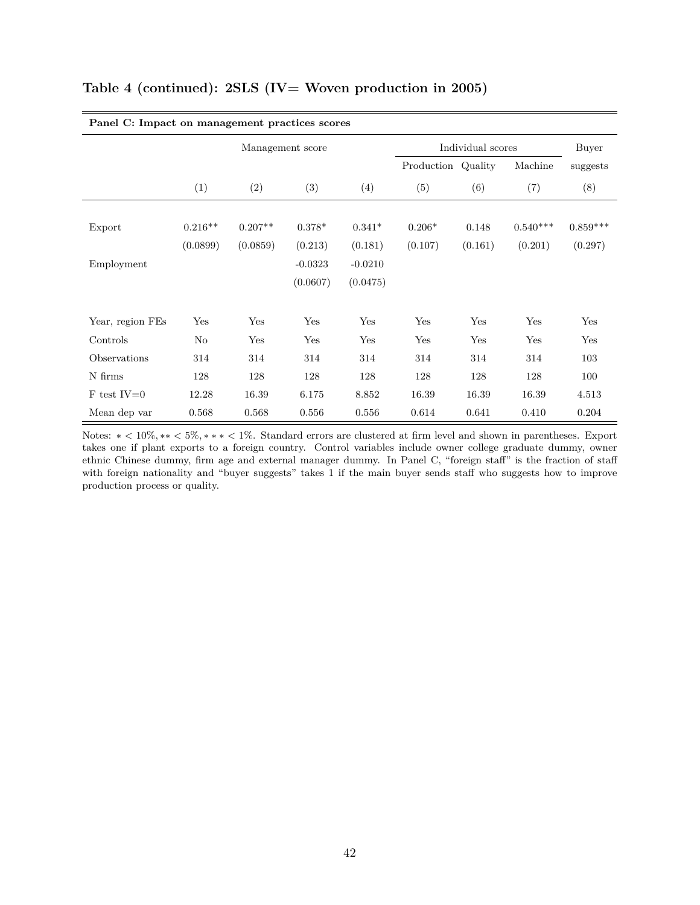| Panel C: Impact on management practices scores |           |           |                  |           |                    |         |            |            |
|------------------------------------------------|-----------|-----------|------------------|-----------|--------------------|---------|------------|------------|
|                                                |           |           | Management score |           | Individual scores  | Buyer   |            |            |
|                                                |           |           |                  |           | Production Quality |         | Machine    | suggests   |
|                                                | (1)       | (2)       | (3)              | (4)       | (5)                | (6)     | (7)        | (8)        |
|                                                |           |           |                  |           |                    |         |            |            |
| Export                                         | $0.216**$ | $0.207**$ | $0.378*$         | $0.341*$  | $0.206*$           | 0.148   | $0.540***$ | $0.859***$ |
|                                                | (0.0899)  | (0.0859)  | (0.213)          | (0.181)   | (0.107)            | (0.161) | (0.201)    | (0.297)    |
| Employment                                     |           |           | $-0.0323$        | $-0.0210$ |                    |         |            |            |
|                                                |           |           | (0.0607)         | (0.0475)  |                    |         |            |            |
| Year, region FEs                               | Yes       | Yes       | Yes              | Yes       | Yes                | Yes     | Yes        | Yes        |
| Controls                                       | $\rm No$  | Yes       | Yes              | Yes       | Yes                | Yes     | Yes        | Yes        |
| Observations                                   | 314       | 314       | 314              | 314       | 314                | 314     | 314        | 103        |
| N firms                                        | 128       | 128       | 128              | 128       | 128                | 128     | 128        | 100        |
| $F$ test IV=0                                  | 12.28     | 16.39     | 6.175            | 8.852     | 16.39              | 16.39   | 16.39      | 4.513      |
| Mean dep var                                   | 0.568     | 0.568     | 0.556            | 0.556     | 0.614              | 0.641   | 0.410      | 0.204      |

## **Table 4 (continued): 2SLS (IV= Woven production in 2005)**

Notes: ∗ *<* 10%*,* ∗∗ *<* 5%*,* ∗ ∗ ∗ *<* 1%. Standard errors are clustered at firm level and shown in parentheses. Export takes one if plant exports to a foreign country. Control variables include owner college graduate dummy, owner ethnic Chinese dummy, firm age and external manager dummy. In Panel C, "foreign staff" is the fraction of staff with foreign nationality and "buyer suggests" takes 1 if the main buyer sends staff who suggests how to improve production process or quality.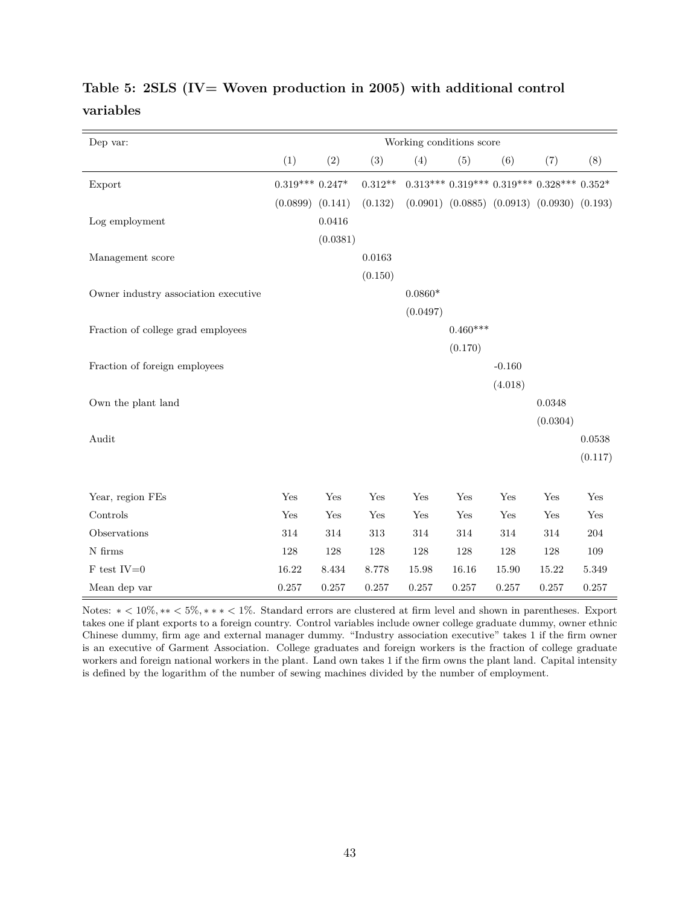| Dep var:                             |                  |          |           | Working conditions score |                                                       |          |          |         |
|--------------------------------------|------------------|----------|-----------|--------------------------|-------------------------------------------------------|----------|----------|---------|
|                                      | (1)              | (2)      | (3)       | (4)                      | (5)                                                   | (6)      | (7)      | (8)     |
| Export                               | $0.319***0.247*$ |          | $0.312**$ |                          | $0.313***$ $0.319***$ $0.319***$ $0.328***$ $0.352*$  |          |          |         |
|                                      | (0.0899)         | (0.141)  | (0.132)   |                          | $(0.0901)$ $(0.0885)$ $(0.0913)$ $(0.0930)$ $(0.193)$ |          |          |         |
| Log employment                       |                  | 0.0416   |           |                          |                                                       |          |          |         |
|                                      |                  | (0.0381) |           |                          |                                                       |          |          |         |
| Management score                     |                  |          | 0.0163    |                          |                                                       |          |          |         |
|                                      |                  |          | (0.150)   |                          |                                                       |          |          |         |
| Owner industry association executive |                  |          |           | $0.0860*$                |                                                       |          |          |         |
|                                      |                  |          |           | (0.0497)                 |                                                       |          |          |         |
| Fraction of college grad employees   |                  |          |           |                          | $0.460***$                                            |          |          |         |
|                                      |                  |          |           |                          | (0.170)                                               |          |          |         |
| Fraction of foreign employees        |                  |          |           |                          |                                                       | $-0.160$ |          |         |
|                                      |                  |          |           |                          |                                                       | (4.018)  |          |         |
| Own the plant land                   |                  |          |           |                          |                                                       |          | 0.0348   |         |
|                                      |                  |          |           |                          |                                                       |          | (0.0304) |         |
| Audit                                |                  |          |           |                          |                                                       |          |          | 0.0538  |
|                                      |                  |          |           |                          |                                                       |          |          | (0.117) |
|                                      |                  |          |           |                          |                                                       |          |          |         |
| Year, region FEs                     | Yes              | Yes      | Yes       | Yes                      | Yes                                                   | Yes      | Yes      | Yes     |
| Controls                             | Yes              | Yes      | Yes       | $\operatorname{Yes}$     | $\operatorname{Yes}$                                  | Yes      | Yes      | Yes     |
| Observations                         | 314              | 314      | 313       | 314                      | 314                                                   | 314      | 314      | 204     |
| $\rm N$ firms                        | 128              | 128      | 128       | $128\,$                  | $128\,$                                               | 128      | $128\,$  | 109     |
| $\rm F$ test $\rm IV{=}0$            | 16.22            | 8.434    | 8.778     | 15.98                    | 16.16                                                 | 15.90    | 15.22    | 5.349   |
| Mean dep var                         | 0.257            | 0.257    | 0.257     | 0.257                    | 0.257                                                 | 0.257    | 0.257    | 0.257   |

# **Table 5: 2SLS (IV= Woven production in 2005) with additional control variables**

Notes: ∗ *<* 10%*,* ∗∗ *<* 5%*,* ∗ ∗ ∗ *<* 1%. Standard errors are clustered at firm level and shown in parentheses. Export takes one if plant exports to a foreign country. Control variables include owner college graduate dummy, owner ethnic Chinese dummy, firm age and external manager dummy. "Industry association executive" takes 1 if the firm owner is an executive of Garment Association. College graduates and foreign workers is the fraction of college graduate workers and foreign national workers in the plant. Land own takes 1 if the firm owns the plant land. Capital intensity is defined by the logarithm of the number of sewing machines divided by the number of employment.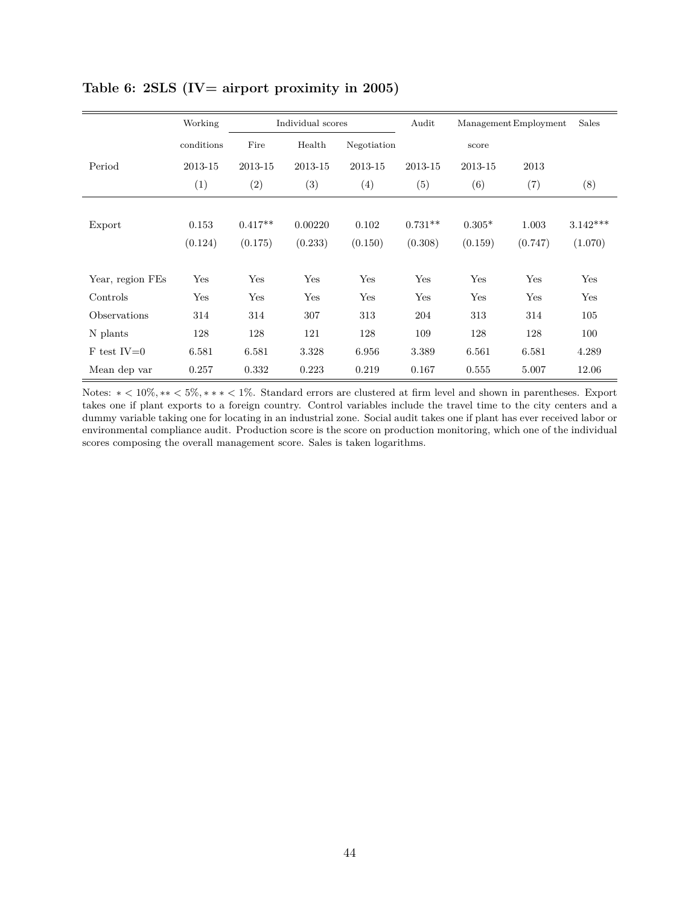|                  | Working    | Individual scores |         |             | Audit<br>Management Employment |          |         | Sales      |
|------------------|------------|-------------------|---------|-------------|--------------------------------|----------|---------|------------|
|                  | conditions | Fire              | Health  | Negotiation |                                | score    |         |            |
| Period           | 2013-15    | 2013-15           | 2013-15 | 2013-15     | 2013-15                        | 2013-15  | 2013    |            |
|                  | (1)        | (2)               | (3)     | (4)         | (5)                            | (6)      | (7)     | (8)        |
|                  |            |                   |         |             |                                |          |         |            |
| Export           | 0.153      | $0.417**$         | 0.00220 | 0.102       | $0.731**$                      | $0.305*$ | 1.003   | $3.142***$ |
|                  | (0.124)    | (0.175)           | (0.233) | (0.150)     | (0.308)                        | (0.159)  | (0.747) | (1.070)    |
| Year, region FEs | Yes        | Yes               | Yes     | Yes         | Yes                            | Yes      | Yes     | Yes        |
| Controls         | Yes        | Yes               | Yes     | Yes         | Yes                            | Yes      | Yes     | Yes        |
| Observations     | 314        | 314               | 307     | 313         | 204                            | 313      | 314     | 105        |
| N plants         | 128        | 128               | 121     | 128         | 109                            | 128      | 128     | 100        |
| $F$ test IV=0    | 6.581      | 6.581             | 3.328   | 6.956       | 3.389                          | 6.561    | 6.581   | 4.289      |
| Mean dep var     | 0.257      | 0.332             | 0.223   | 0.219       | 0.167                          | 0.555    | 5.007   | 12.06      |

## **Table 6: 2SLS (IV= airport proximity in 2005)**

Notes: ∗ *<* 10%*,* ∗∗ *<* 5%*,* ∗ ∗ ∗ *<* 1%. Standard errors are clustered at firm level and shown in parentheses. Export takes one if plant exports to a foreign country. Control variables include the travel time to the city centers and a dummy variable taking one for locating in an industrial zone. Social audit takes one if plant has ever received labor or environmental compliance audit. Production score is the score on production monitoring, which one of the individual scores composing the overall management score. Sales is taken logarithms.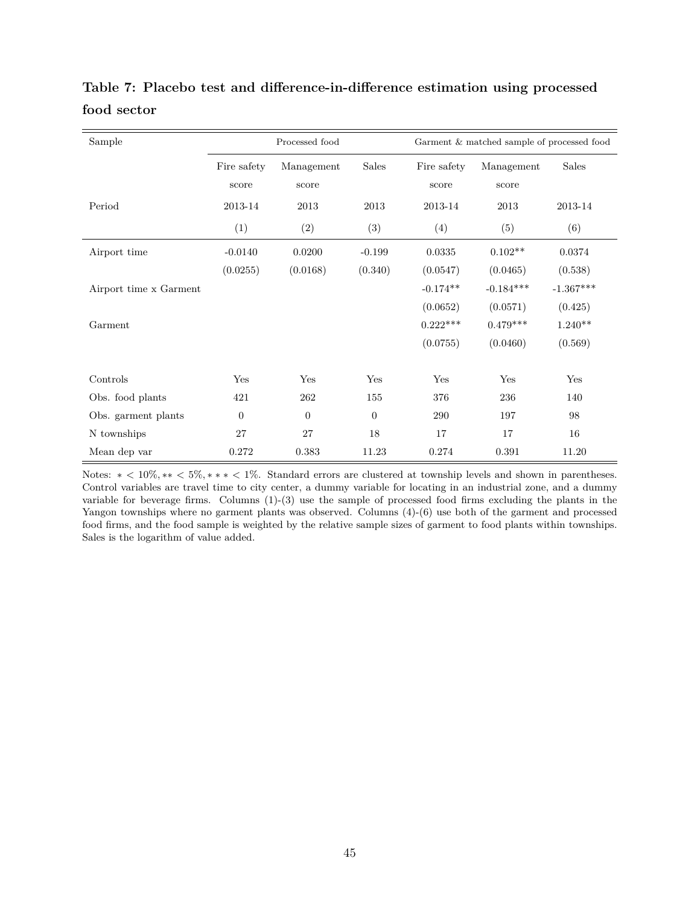| Sample                 | Processed food<br>Garment & matched sample of processed food |                     |          |                      |                     |             |
|------------------------|--------------------------------------------------------------|---------------------|----------|----------------------|---------------------|-------------|
|                        | Fire safety<br>score                                         | Management<br>score | Sales    | Fire safety<br>score | Management<br>score | Sales       |
| Period                 | 2013-14                                                      | 2013                | 2013     | 2013-14              | 2013                | 2013-14     |
|                        | (1)                                                          | (2)                 | (3)      | (4)                  | (5)                 | (6)         |
| Airport time           | $-0.0140$                                                    | 0.0200              | $-0.199$ | 0.0335               | $0.102**$           | 0.0374      |
|                        | (0.0255)                                                     | (0.0168)            | (0.340)  | (0.0547)             | (0.0465)            | (0.538)     |
| Airport time x Garment |                                                              |                     |          | $-0.174**$           | $-0.184***$         | $-1.367***$ |
|                        |                                                              |                     |          | (0.0652)             | (0.0571)            | (0.425)     |
| Garment                |                                                              |                     |          | $0.222***$           | $0.479***$          | $1.240**$   |
|                        |                                                              |                     |          | (0.0755)             | (0.0460)            | (0.569)     |
| Controls               | Yes                                                          | Yes                 | Yes      | Yes                  | Yes                 | Yes         |
| Obs. food plants       | 421                                                          | 262                 | 155      | 376                  | 236                 | 140         |
| Obs. garment plants    | $\overline{0}$                                               | $\overline{0}$      | $\theta$ | 290                  | 197                 | 98          |
| N townships            | 27                                                           | 27                  | 18       | 17                   | 17                  | 16          |
| Mean dep var           | 0.272                                                        | 0.383               | 11.23    | 0.274                | 0.391               | 11.20       |

**Table 7: Placebo test and difference-in-difference estimation using processed food sector**

Notes: ∗ *<* 10%*,* ∗∗ *<* 5%*,* ∗ ∗ ∗ *<* 1%. Standard errors are clustered at township levels and shown in parentheses. Control variables are travel time to city center, a dummy variable for locating in an industrial zone, and a dummy variable for beverage firms. Columns (1)-(3) use the sample of processed food firms excluding the plants in the Yangon townships where no garment plants was observed. Columns (4)-(6) use both of the garment and processed food firms, and the food sample is weighted by the relative sample sizes of garment to food plants within townships. Sales is the logarithm of value added.